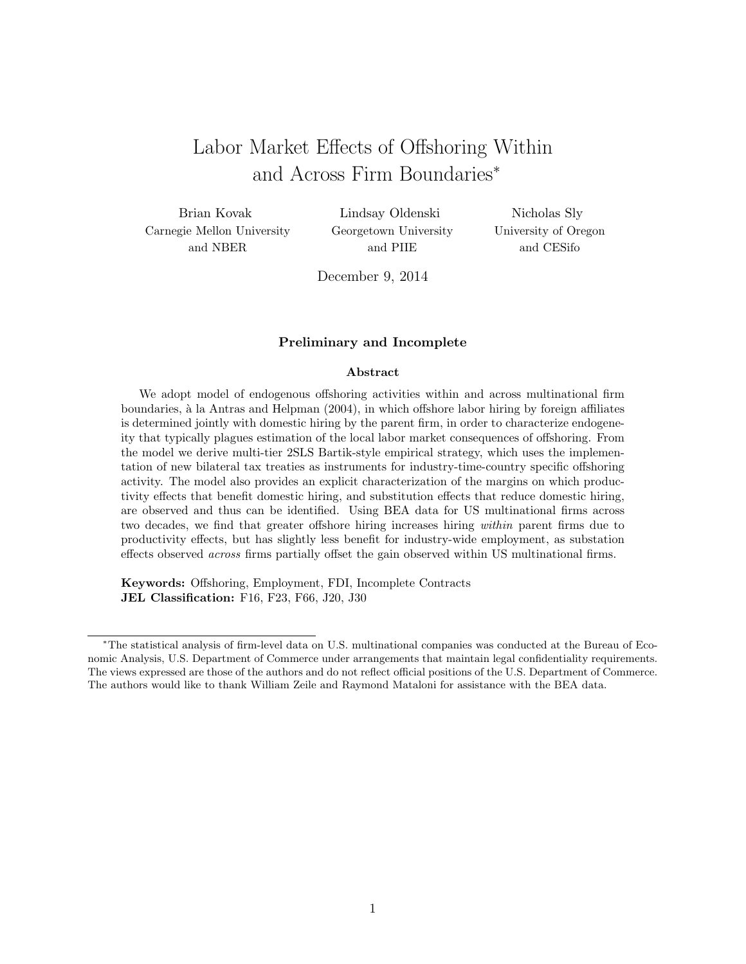# Labor Market Effects of Offshoring Within and Across Firm Boundaries*<sup>∗</sup>*

Brian Kovak Carnegie Mellon University and NBER

Lindsay Oldenski Georgetown University and PIIE

Nicholas Sly University of Oregon and CESifo

December 9, 2014

#### **Preliminary and Incomplete**

#### **Abstract**

We adopt model of endogenous offshoring activities within and across multinational firm boundaries, à la Antras and Helpman (2004), in which offshore labor hiring by foreign affiliates is determined jointly with domestic hiring by the parent firm, in order to characterize endogeneity that typically plagues estimation of the local labor market consequences of offshoring. From the model we derive multi-tier 2SLS Bartik-style empirical strategy, which uses the implementation of new bilateral tax treaties as instruments for industry-time-country specific offshoring activity. The model also provides an explicit characterization of the margins on which productivity effects that benefit domestic hiring, and substitution effects that reduce domestic hiring, are observed and thus can be identified. Using BEA data for US multinational firms across two decades, we find that greater offshore hiring increases hiring *within* parent firms due to productivity effects, but has slightly less benefit for industry-wide employment, as substation effects observed *across* firms partially offset the gain observed within US multinational firms.

**Keywords:** Offshoring, Employment, FDI, Incomplete Contracts **JEL Classification:** F16, F23, F66, J20, J30

*<sup>∗</sup>*The statistical analysis of firm-level data on U.S. multinational companies was conducted at the Bureau of Economic Analysis, U.S. Department of Commerce under arrangements that maintain legal confidentiality requirements. The views expressed are those of the authors and do not reflect official positions of the U.S. Department of Commerce. The authors would like to thank William Zeile and Raymond Mataloni for assistance with the BEA data.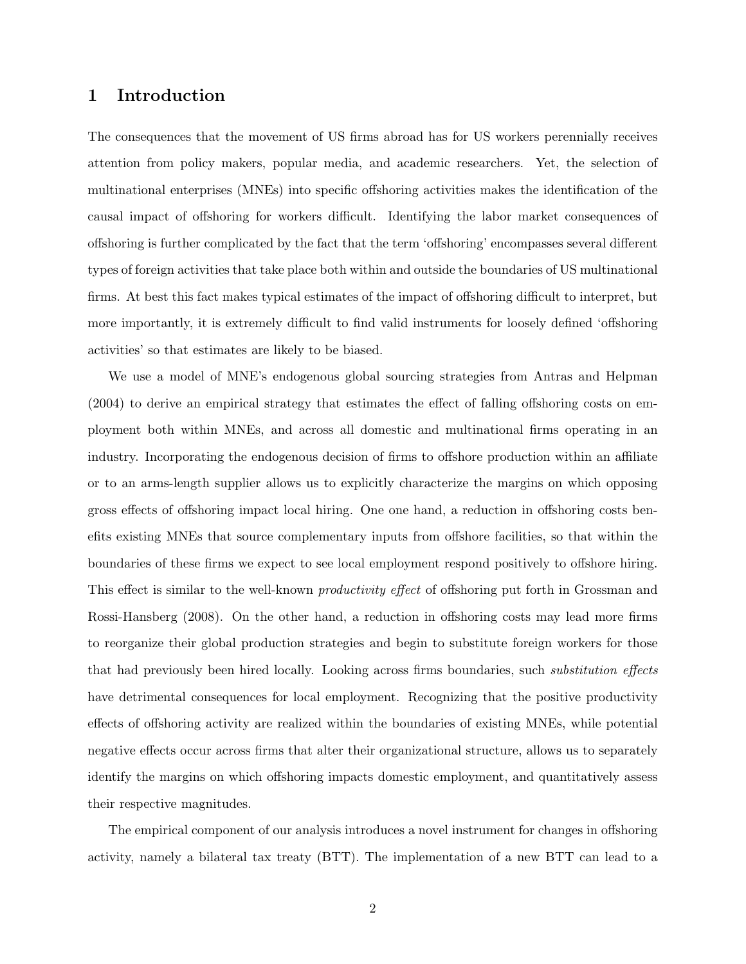## **1 Introduction**

The consequences that the movement of US firms abroad has for US workers perennially receives attention from policy makers, popular media, and academic researchers. Yet, the selection of multinational enterprises (MNEs) into specific offshoring activities makes the identification of the causal impact of offshoring for workers difficult. Identifying the labor market consequences of offshoring is further complicated by the fact that the term 'offshoring' encompasses several different types of foreign activities that take place both within and outside the boundaries of US multinational firms. At best this fact makes typical estimates of the impact of offshoring difficult to interpret, but more importantly, it is extremely difficult to find valid instruments for loosely defined 'offshoring activities' so that estimates are likely to be biased.

We use a model of MNE's endogenous global sourcing strategies from Antras and Helpman (2004) to derive an empirical strategy that estimates the effect of falling offshoring costs on employment both within MNEs, and across all domestic and multinational firms operating in an industry. Incorporating the endogenous decision of firms to offshore production within an affiliate or to an arms-length supplier allows us to explicitly characterize the margins on which opposing gross effects of offshoring impact local hiring. One one hand, a reduction in offshoring costs benefits existing MNEs that source complementary inputs from offshore facilities, so that within the boundaries of these firms we expect to see local employment respond positively to offshore hiring. This effect is similar to the well-known *productivity effect* of offshoring put forth in Grossman and Rossi-Hansberg (2008). On the other hand, a reduction in offshoring costs may lead more firms to reorganize their global production strategies and begin to substitute foreign workers for those that had previously been hired locally. Looking across firms boundaries, such *substitution effects* have detrimental consequences for local employment. Recognizing that the positive productivity effects of offshoring activity are realized within the boundaries of existing MNEs, while potential negative effects occur across firms that alter their organizational structure, allows us to separately identify the margins on which offshoring impacts domestic employment, and quantitatively assess their respective magnitudes.

The empirical component of our analysis introduces a novel instrument for changes in offshoring activity, namely a bilateral tax treaty (BTT). The implementation of a new BTT can lead to a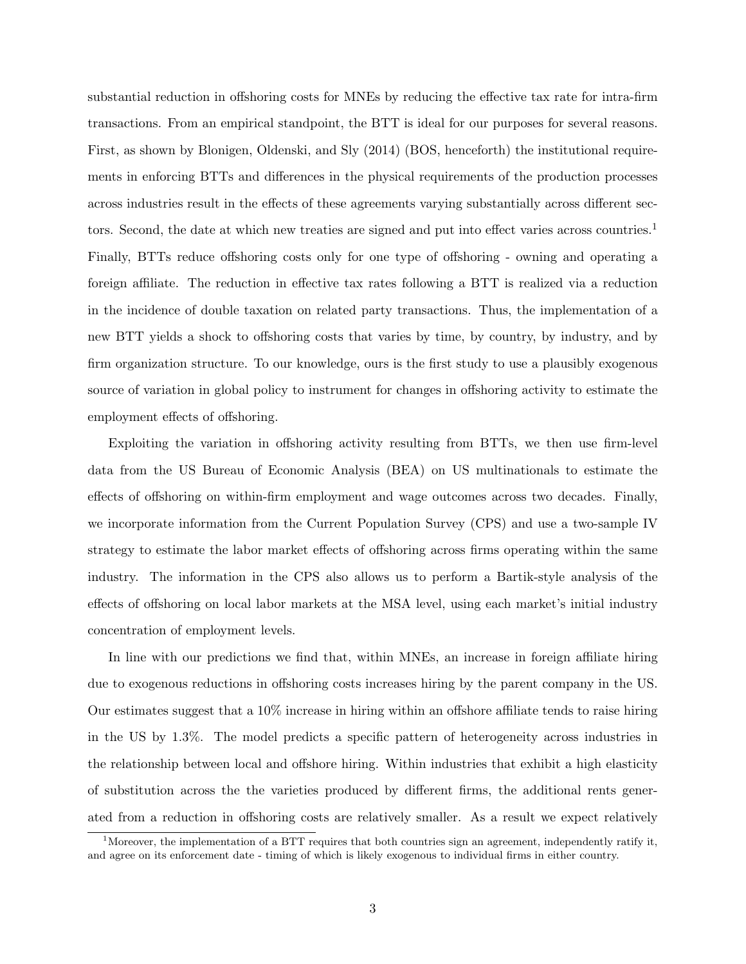substantial reduction in offshoring costs for MNEs by reducing the effective tax rate for intra-firm transactions. From an empirical standpoint, the BTT is ideal for our purposes for several reasons. First, as shown by Blonigen, Oldenski, and Sly (2014) (BOS, henceforth) the institutional requirements in enforcing BTTs and differences in the physical requirements of the production processes across industries result in the effects of these agreements varying substantially across different sectors. Second, the date at which new treaties are signed and put into effect varies across countries.<sup>1</sup> Finally, BTTs reduce offshoring costs only for one type of offshoring - owning and operating a foreign affiliate. The reduction in effective tax rates following a BTT is realized via a reduction in the incidence of double taxation on related party transactions. Thus, the implementation of a new BTT yields a shock to offshoring costs that varies by time, by country, by industry, and by firm organization structure. To our knowledge, ours is the first study to use a plausibly exogenous source of variation in global policy to instrument for changes in offshoring activity to estimate the employment effects of offshoring.

Exploiting the variation in offshoring activity resulting from BTTs, we then use firm-level data from the US Bureau of Economic Analysis (BEA) on US multinationals to estimate the effects of offshoring on within-firm employment and wage outcomes across two decades. Finally, we incorporate information from the Current Population Survey (CPS) and use a two-sample IV strategy to estimate the labor market effects of offshoring across firms operating within the same industry. The information in the CPS also allows us to perform a Bartik-style analysis of the effects of offshoring on local labor markets at the MSA level, using each market's initial industry concentration of employment levels.

In line with our predictions we find that, within MNEs, an increase in foreign affiliate hiring due to exogenous reductions in offshoring costs increases hiring by the parent company in the US. Our estimates suggest that a 10% increase in hiring within an offshore affiliate tends to raise hiring in the US by 1.3%. The model predicts a specific pattern of heterogeneity across industries in the relationship between local and offshore hiring. Within industries that exhibit a high elasticity of substitution across the the varieties produced by different firms, the additional rents generated from a reduction in offshoring costs are relatively smaller. As a result we expect relatively

<sup>&</sup>lt;sup>1</sup>Moreover, the implementation of a BTT requires that both countries sign an agreement, independently ratify it, and agree on its enforcement date - timing of which is likely exogenous to individual firms in either country.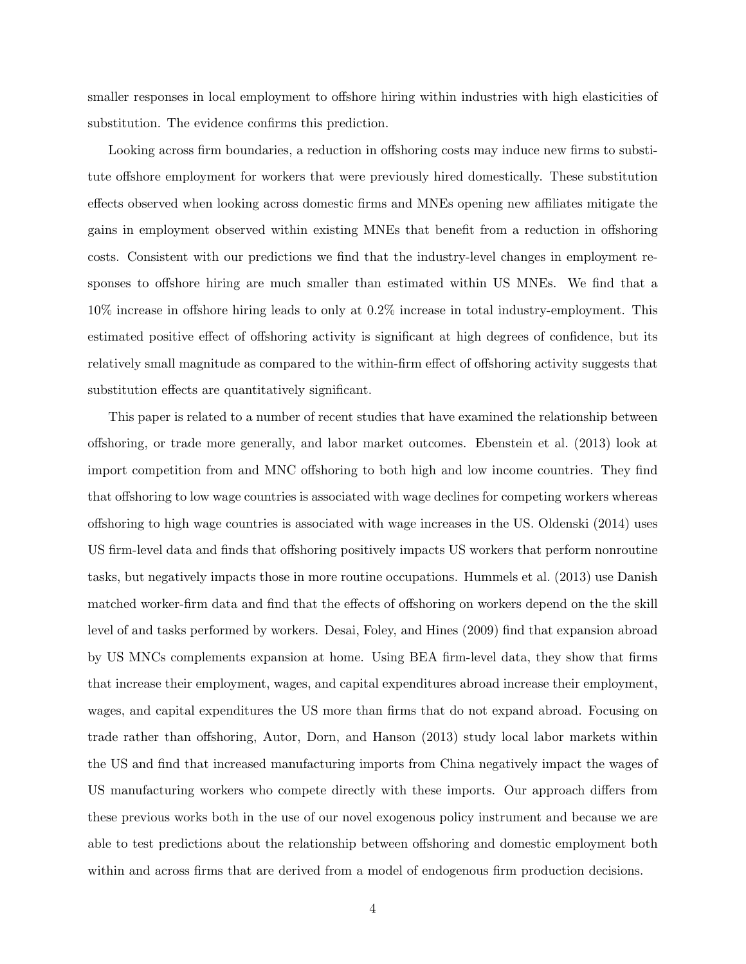smaller responses in local employment to offshore hiring within industries with high elasticities of substitution. The evidence confirms this prediction.

Looking across firm boundaries, a reduction in offshoring costs may induce new firms to substitute offshore employment for workers that were previously hired domestically. These substitution effects observed when looking across domestic firms and MNEs opening new affiliates mitigate the gains in employment observed within existing MNEs that benefit from a reduction in offshoring costs. Consistent with our predictions we find that the industry-level changes in employment responses to offshore hiring are much smaller than estimated within US MNEs. We find that a 10% increase in offshore hiring leads to only at 0.2% increase in total industry-employment. This estimated positive effect of offshoring activity is significant at high degrees of confidence, but its relatively small magnitude as compared to the within-firm effect of offshoring activity suggests that substitution effects are quantitatively significant.

This paper is related to a number of recent studies that have examined the relationship between offshoring, or trade more generally, and labor market outcomes. Ebenstein et al. (2013) look at import competition from and MNC offshoring to both high and low income countries. They find that offshoring to low wage countries is associated with wage declines for competing workers whereas offshoring to high wage countries is associated with wage increases in the US. Oldenski (2014) uses US firm-level data and finds that offshoring positively impacts US workers that perform nonroutine tasks, but negatively impacts those in more routine occupations. Hummels et al. (2013) use Danish matched worker-firm data and find that the effects of offshoring on workers depend on the the skill level of and tasks performed by workers. Desai, Foley, and Hines (2009) find that expansion abroad by US MNCs complements expansion at home. Using BEA firm-level data, they show that firms that increase their employment, wages, and capital expenditures abroad increase their employment, wages, and capital expenditures the US more than firms that do not expand abroad. Focusing on trade rather than offshoring, Autor, Dorn, and Hanson (2013) study local labor markets within the US and find that increased manufacturing imports from China negatively impact the wages of US manufacturing workers who compete directly with these imports. Our approach differs from these previous works both in the use of our novel exogenous policy instrument and because we are able to test predictions about the relationship between offshoring and domestic employment both within and across firms that are derived from a model of endogenous firm production decisions.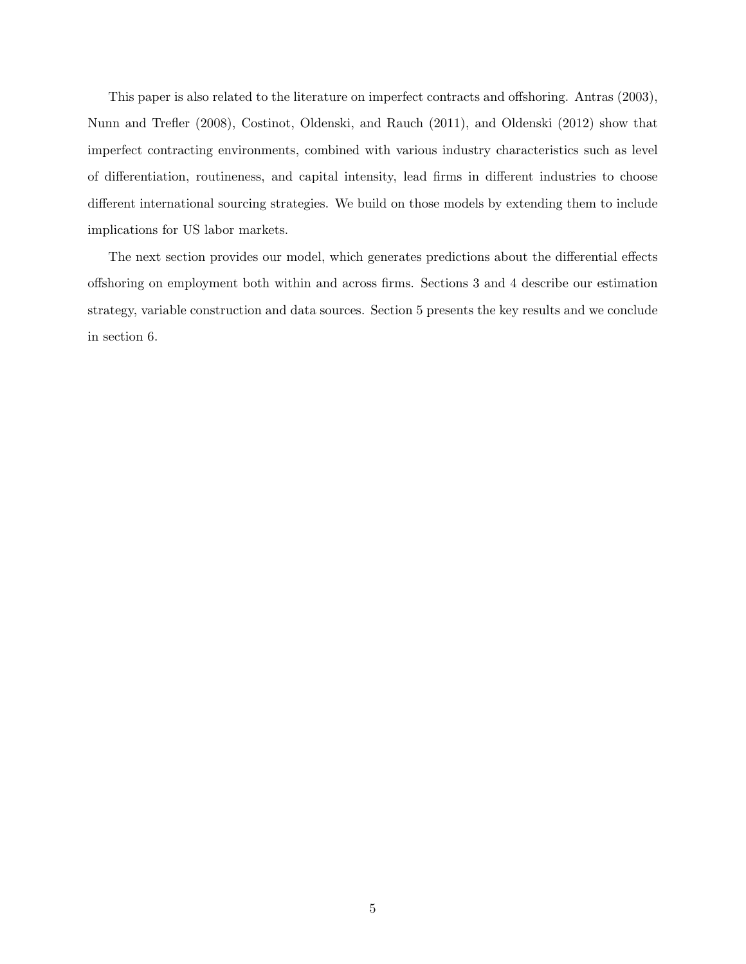This paper is also related to the literature on imperfect contracts and offshoring. Antras (2003), Nunn and Trefler (2008), Costinot, Oldenski, and Rauch (2011), and Oldenski (2012) show that imperfect contracting environments, combined with various industry characteristics such as level of differentiation, routineness, and capital intensity, lead firms in different industries to choose different international sourcing strategies. We build on those models by extending them to include implications for US labor markets.

The next section provides our model, which generates predictions about the differential effects offshoring on employment both within and across firms. Sections 3 and 4 describe our estimation strategy, variable construction and data sources. Section 5 presents the key results and we conclude in section 6.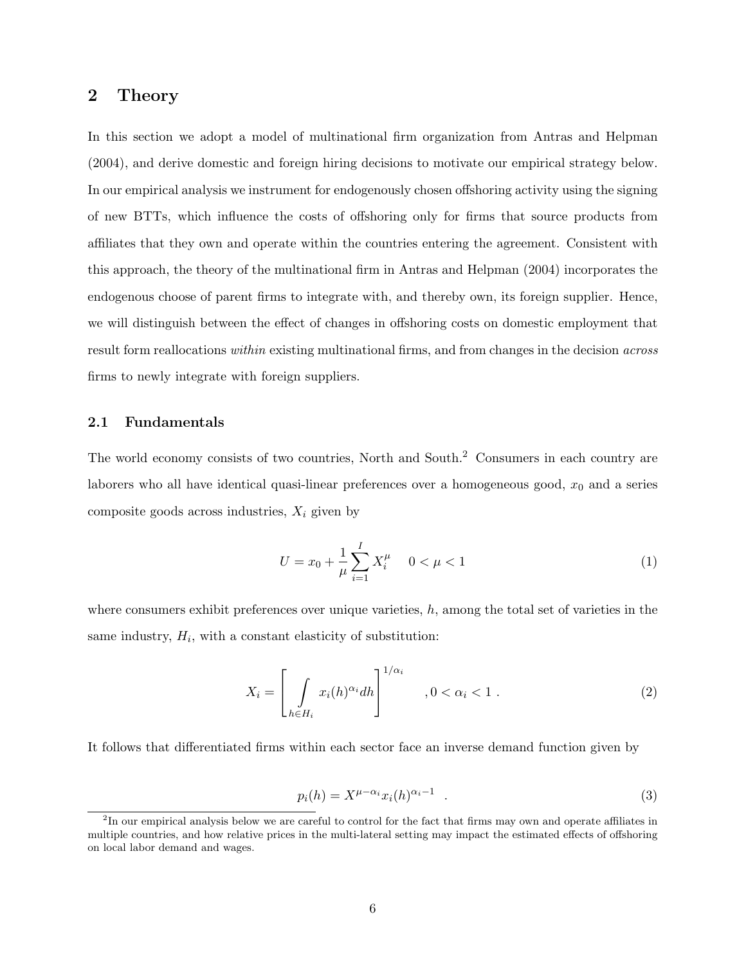## **2 Theory**

In this section we adopt a model of multinational firm organization from Antras and Helpman (2004), and derive domestic and foreign hiring decisions to motivate our empirical strategy below. In our empirical analysis we instrument for endogenously chosen offshoring activity using the signing of new BTTs, which influence the costs of offshoring only for firms that source products from affiliates that they own and operate within the countries entering the agreement. Consistent with this approach, the theory of the multinational firm in Antras and Helpman (2004) incorporates the endogenous choose of parent firms to integrate with, and thereby own, its foreign supplier. Hence, we will distinguish between the effect of changes in offshoring costs on domestic employment that result form reallocations *within* existing multinational firms, and from changes in the decision *across* firms to newly integrate with foreign suppliers.

#### **2.1 Fundamentals**

The world economy consists of two countries, North and South.<sup>2</sup> Consumers in each country are laborers who all have identical quasi-linear preferences over a homogeneous good,  $x_0$  and a series composite goods across industries, *X<sup>i</sup>* given by

$$
U = x_0 + \frac{1}{\mu} \sum_{i=1}^{I} X_i^{\mu} \quad 0 < \mu < 1 \tag{1}
$$

where consumers exhibit preferences over unique varieties, *h*, among the total set of varieties in the same industry,  $H_i$ , with a constant elasticity of substitution:

$$
X_i = \left[ \int\limits_{h \in H_i} x_i(h)^{\alpha_i} dh \right]^{1/\alpha_i}, 0 < \alpha_i < 1.
$$
 (2)

It follows that differentiated firms within each sector face an inverse demand function given by

$$
p_i(h) = X^{\mu - \alpha_i} x_i(h)^{\alpha_i - 1} \quad . \tag{3}
$$

<sup>&</sup>lt;sup>2</sup>In our empirical analysis below we are careful to control for the fact that firms may own and operate affiliates in multiple countries, and how relative prices in the multi-lateral setting may impact the estimated effects of offshoring on local labor demand and wages.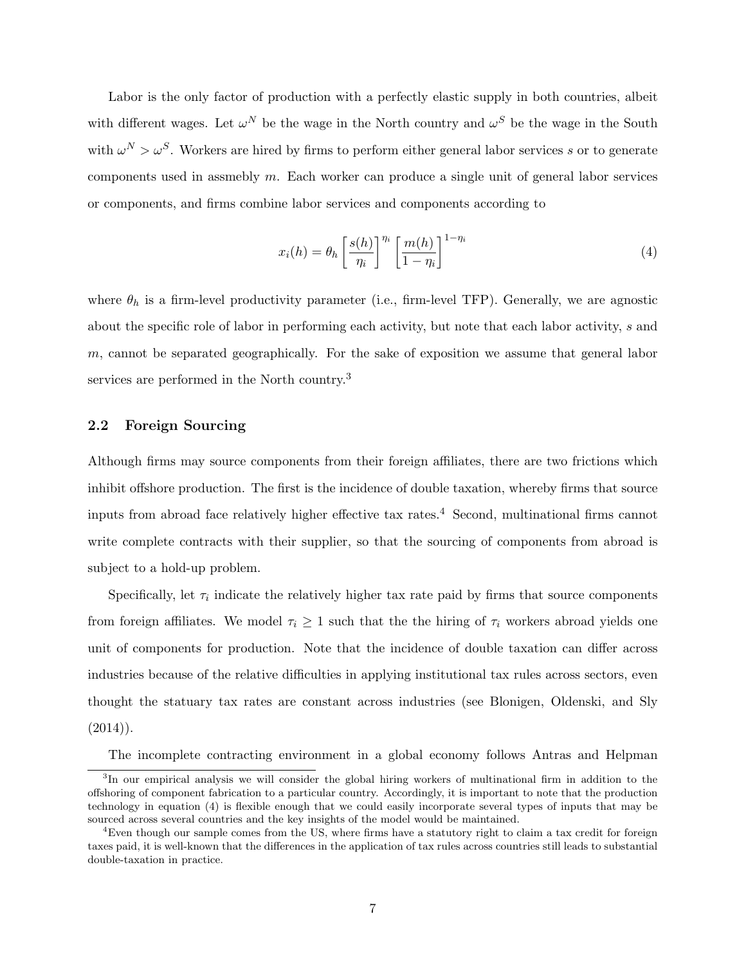Labor is the only factor of production with a perfectly elastic supply in both countries, albeit with different wages. Let  $\omega^N$  be the wage in the North country and  $\omega^S$  be the wage in the South with  $\omega^N > \omega^S$ . Workers are hired by firms to perform either general labor services *s* or to generate components used in assmebly *m*. Each worker can produce a single unit of general labor services or components, and firms combine labor services and components according to

$$
x_i(h) = \theta_h \left[ \frac{s(h)}{\eta_i} \right]^{\eta_i} \left[ \frac{m(h)}{1 - \eta_i} \right]^{1 - \eta_i}
$$
\n(4)

where  $\theta_h$  is a firm-level productivity parameter (i.e., firm-level TFP). Generally, we are agnostic about the specific role of labor in performing each activity, but note that each labor activity, *s* and *m*, cannot be separated geographically. For the sake of exposition we assume that general labor services are performed in the North country.<sup>3</sup>

#### **2.2 Foreign Sourcing**

Although firms may source components from their foreign affiliates, there are two frictions which inhibit offshore production. The first is the incidence of double taxation, whereby firms that source inputs from abroad face relatively higher effective tax rates.<sup>4</sup> Second, multinational firms cannot write complete contracts with their supplier, so that the sourcing of components from abroad is subject to a hold-up problem.

Specifically, let  $\tau_i$  indicate the relatively higher tax rate paid by firms that source components from foreign affiliates. We model  $\tau_i \geq 1$  such that the the hiring of  $\tau_i$  workers abroad yields one unit of components for production. Note that the incidence of double taxation can differ across industries because of the relative difficulties in applying institutional tax rules across sectors, even thought the statuary tax rates are constant across industries (see Blonigen, Oldenski, and Sly  $(2014)$ .

The incomplete contracting environment in a global economy follows Antras and Helpman

<sup>3</sup> In our empirical analysis we will consider the global hiring workers of multinational firm in addition to the offshoring of component fabrication to a particular country. Accordingly, it is important to note that the production technology in equation (4) is flexible enough that we could easily incorporate several types of inputs that may be sourced across several countries and the key insights of the model would be maintained.

<sup>&</sup>lt;sup>4</sup>Even though our sample comes from the US, where firms have a statutory right to claim a tax credit for foreign taxes paid, it is well-known that the differences in the application of tax rules across countries still leads to substantial double-taxation in practice.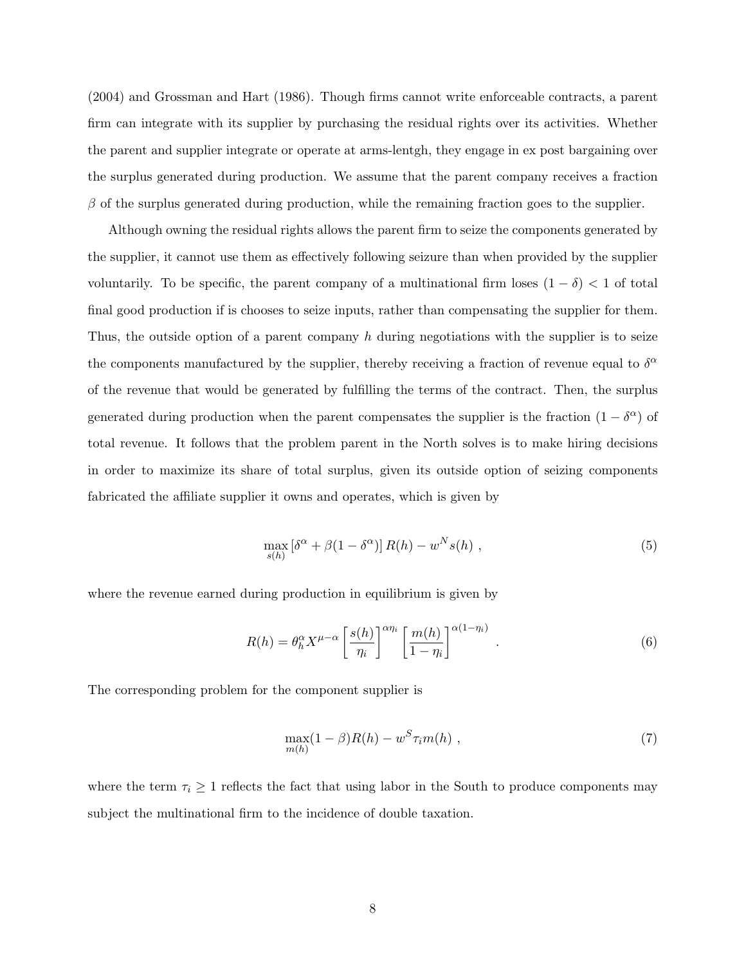(2004) and Grossman and Hart (1986). Though firms cannot write enforceable contracts, a parent firm can integrate with its supplier by purchasing the residual rights over its activities. Whether the parent and supplier integrate or operate at arms-lentgh, they engage in ex post bargaining over the surplus generated during production. We assume that the parent company receives a fraction *β* of the surplus generated during production, while the remaining fraction goes to the supplier.

Although owning the residual rights allows the parent firm to seize the components generated by the supplier, it cannot use them as effectively following seizure than when provided by the supplier voluntarily. To be specific, the parent company of a multinational firm loses  $(1 - \delta) < 1$  of total final good production if is chooses to seize inputs, rather than compensating the supplier for them. Thus, the outside option of a parent company *h* during negotiations with the supplier is to seize the components manufactured by the supplier, thereby receiving a fraction of revenue equal to  $\delta^{\alpha}$ of the revenue that would be generated by fulfilling the terms of the contract. Then, the surplus generated during production when the parent compensates the supplier is the fraction  $(1 - \delta^{\alpha})$  of total revenue. It follows that the problem parent in the North solves is to make hiring decisions in order to maximize its share of total surplus, given its outside option of seizing components fabricated the affiliate supplier it owns and operates, which is given by

$$
\max_{s(h)} \left[ \delta^{\alpha} + \beta (1 - \delta^{\alpha}) \right] R(h) - w^N s(h) , \qquad (5)
$$

where the revenue earned during production in equilibrium is given by

$$
R(h) = \theta_h^{\alpha} X^{\mu-\alpha} \left[ \frac{s(h)}{\eta_i} \right]^{\alpha \eta_i} \left[ \frac{m(h)}{1-\eta_i} \right]^{\alpha(1-\eta_i)} . \tag{6}
$$

The corresponding problem for the component supplier is

$$
\max_{m(h)} (1 - \beta)R(h) - w^S \tau_i m(h) , \qquad (7)
$$

where the term  $\tau_i \geq 1$  reflects the fact that using labor in the South to produce components may subject the multinational firm to the incidence of double taxation.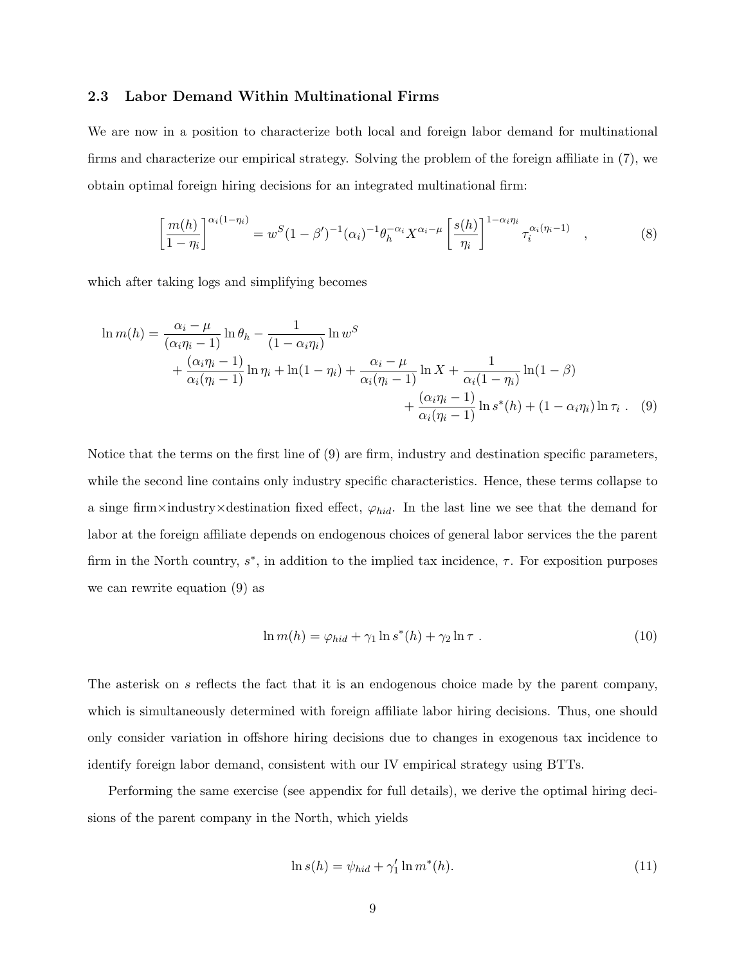#### **2.3 Labor Demand Within Multinational Firms**

We are now in a position to characterize both local and foreign labor demand for multinational firms and characterize our empirical strategy. Solving the problem of the foreign affiliate in (7), we obtain optimal foreign hiring decisions for an integrated multinational firm:

$$
\left[\frac{m(h)}{1-\eta_i}\right]^{\alpha_i(1-\eta_i)} = w^S(1-\beta')^{-1}(\alpha_i)^{-1}\theta_h^{-\alpha_i}X^{\alpha_i-\mu}\left[\frac{s(h)}{\eta_i}\right]^{1-\alpha_i\eta_i}\tau_i^{\alpha_i(\eta_i-1)},\tag{8}
$$

which after taking logs and simplifying becomes

$$
\ln m(h) = \frac{\alpha_i - \mu}{(\alpha_i \eta_i - 1)} \ln \theta_h - \frac{1}{(1 - \alpha_i \eta_i)} \ln w^S
$$
  
+ 
$$
\frac{(\alpha_i \eta_i - 1)}{\alpha_i (\eta_i - 1)} \ln \eta_i + \ln(1 - \eta_i) + \frac{\alpha_i - \mu}{\alpha_i (\eta_i - 1)} \ln X + \frac{1}{\alpha_i (1 - \eta_i)} \ln(1 - \beta)
$$
  
+ 
$$
\frac{(\alpha_i \eta_i - 1)}{\alpha_i (\eta_i - 1)} \ln s^*(h) + (1 - \alpha_i \eta_i) \ln \tau_i
$$
 (9)

Notice that the terms on the first line of (9) are firm, industry and destination specific parameters, while the second line contains only industry specific characteristics. Hence, these terms collapse to a singe firm  $\times$  industry  $\times$  destination fixed effect,  $\varphi_{hid}$ . In the last line we see that the demand for labor at the foreign affiliate depends on endogenous choices of general labor services the the parent firm in the North country,  $s^*$ , in addition to the implied tax incidence,  $\tau$ . For exposition purposes we can rewrite equation (9) as

$$
\ln m(h) = \varphi_{hid} + \gamma_1 \ln s^*(h) + \gamma_2 \ln \tau . \qquad (10)
$$

The asterisk on *s* reflects the fact that it is an endogenous choice made by the parent company, which is simultaneously determined with foreign affiliate labor hiring decisions. Thus, one should only consider variation in offshore hiring decisions due to changes in exogenous tax incidence to identify foreign labor demand, consistent with our IV empirical strategy using BTTs.

Performing the same exercise (see appendix for full details), we derive the optimal hiring decisions of the parent company in the North, which yields

$$
\ln s(h) = \psi_{hid} + \gamma'_1 \ln m^*(h). \tag{11}
$$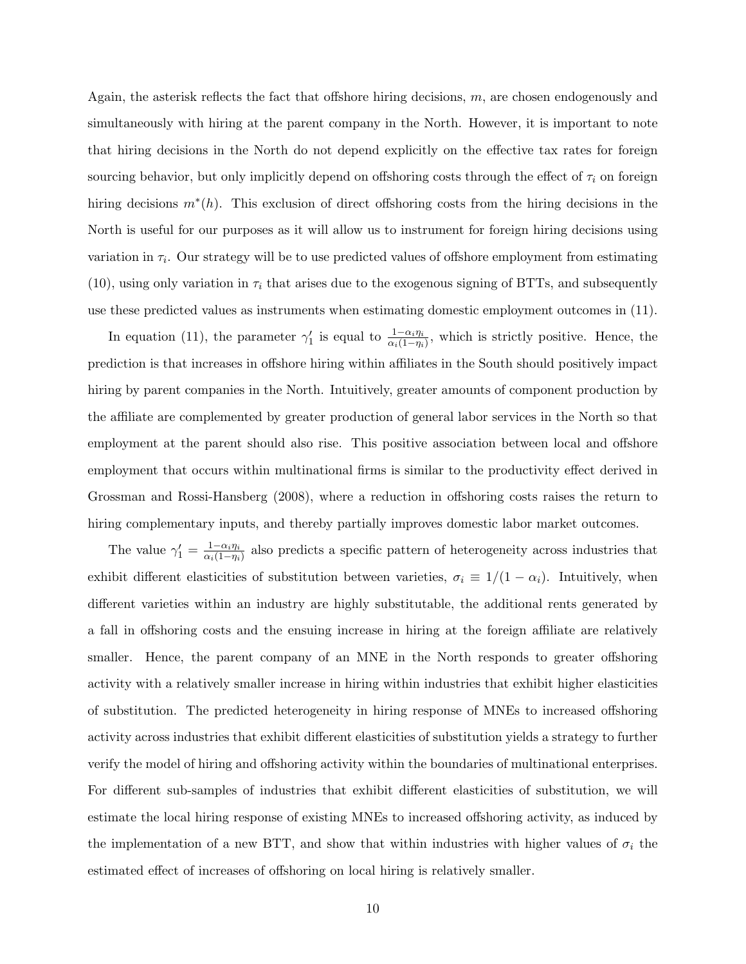Again, the asterisk reflects the fact that offshore hiring decisions, *m*, are chosen endogenously and simultaneously with hiring at the parent company in the North. However, it is important to note that hiring decisions in the North do not depend explicitly on the effective tax rates for foreign sourcing behavior, but only implicitly depend on offshoring costs through the effect of  $\tau_i$  on foreign hiring decisions *m<sup>∗</sup>* (*h*). This exclusion of direct offshoring costs from the hiring decisions in the North is useful for our purposes as it will allow us to instrument for foreign hiring decisions using variation in  $\tau_i$ . Our strategy will be to use predicted values of offshore employment from estimating  $(10)$ , using only variation in  $\tau_i$  that arises due to the exogenous signing of BTTs, and subsequently use these predicted values as instruments when estimating domestic employment outcomes in (11).

In equation (11), the parameter  $\gamma'_1$  is equal to  $\frac{1-\alpha_i\eta_i}{\alpha_i(1-\eta_i)}$ , which is strictly positive. Hence, the prediction is that increases in offshore hiring within affiliates in the South should positively impact hiring by parent companies in the North. Intuitively, greater amounts of component production by the affiliate are complemented by greater production of general labor services in the North so that employment at the parent should also rise. This positive association between local and offshore employment that occurs within multinational firms is similar to the productivity effect derived in Grossman and Rossi-Hansberg (2008), where a reduction in offshoring costs raises the return to hiring complementary inputs, and thereby partially improves domestic labor market outcomes.

The value  $\gamma'_1 = \frac{1-\alpha_i\eta_i}{\alpha_i(1-\eta_i)}$  $\frac{1-\alpha_i\eta_i}{\alpha_i(1-\eta_i)}$  also predicts a specific pattern of heterogeneity across industries that exhibit different elasticities of substitution between varieties,  $\sigma_i \equiv 1/(1 - \alpha_i)$ . Intuitively, when different varieties within an industry are highly substitutable, the additional rents generated by a fall in offshoring costs and the ensuing increase in hiring at the foreign affiliate are relatively smaller. Hence, the parent company of an MNE in the North responds to greater offshoring activity with a relatively smaller increase in hiring within industries that exhibit higher elasticities of substitution. The predicted heterogeneity in hiring response of MNEs to increased offshoring activity across industries that exhibit different elasticities of substitution yields a strategy to further verify the model of hiring and offshoring activity within the boundaries of multinational enterprises. For different sub-samples of industries that exhibit different elasticities of substitution, we will estimate the local hiring response of existing MNEs to increased offshoring activity, as induced by the implementation of a new BTT, and show that within industries with higher values of  $\sigma_i$  the estimated effect of increases of offshoring on local hiring is relatively smaller.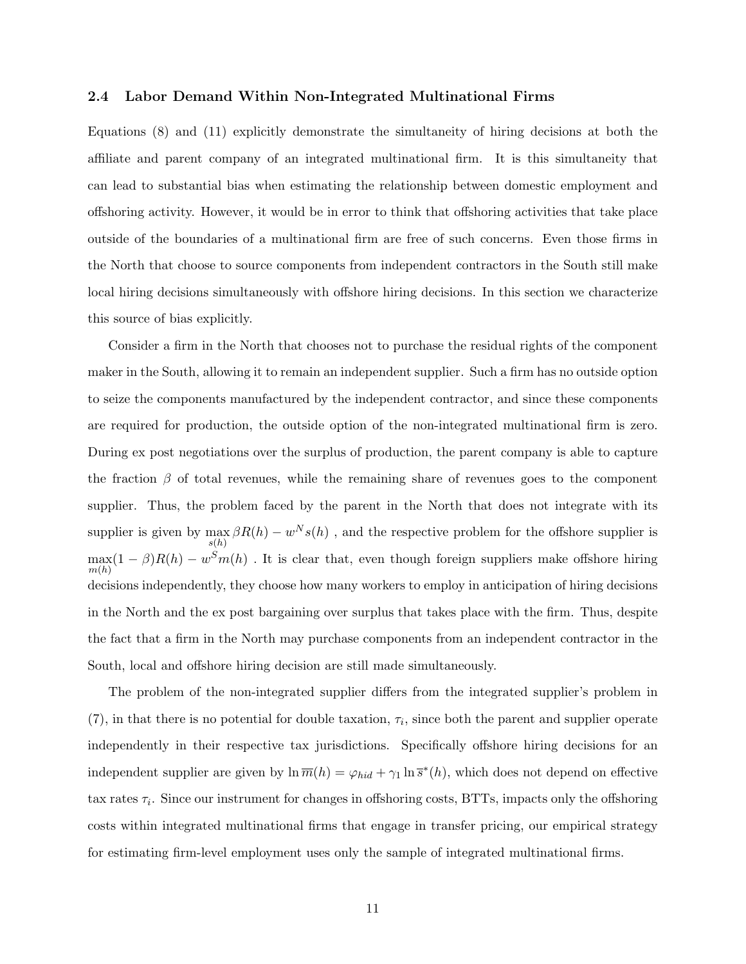#### **2.4 Labor Demand Within Non-Integrated Multinational Firms**

Equations (8) and (11) explicitly demonstrate the simultaneity of hiring decisions at both the affiliate and parent company of an integrated multinational firm. It is this simultaneity that can lead to substantial bias when estimating the relationship between domestic employment and offshoring activity. However, it would be in error to think that offshoring activities that take place outside of the boundaries of a multinational firm are free of such concerns. Even those firms in the North that choose to source components from independent contractors in the South still make local hiring decisions simultaneously with offshore hiring decisions. In this section we characterize this source of bias explicitly.

Consider a firm in the North that chooses not to purchase the residual rights of the component maker in the South, allowing it to remain an independent supplier. Such a firm has no outside option to seize the components manufactured by the independent contractor, and since these components are required for production, the outside option of the non-integrated multinational firm is zero. During ex post negotiations over the surplus of production, the parent company is able to capture the fraction  $\beta$  of total revenues, while the remaining share of revenues goes to the component supplier. Thus, the problem faced by the parent in the North that does not integrate with its supplier is given by  $\max_{s(h)} \beta R(h) - w^N s(h)$ , and the respective problem for the offshore supplier is  $\max_{m(h)} (1 - \beta)R(h) - w^S m(h)$ . It is clear that, even though foreign suppliers make offshore hiring decisions independently, they choose how many workers to employ in anticipation of hiring decisions in the North and the ex post bargaining over surplus that takes place with the firm. Thus, despite the fact that a firm in the North may purchase components from an independent contractor in the South, local and offshore hiring decision are still made simultaneously.

The problem of the non-integrated supplier differs from the integrated supplier's problem in  $(7)$ , in that there is no potential for double taxation,  $\tau_i$ , since both the parent and supplier operate independently in their respective tax jurisdictions. Specifically offshore hiring decisions for an independent supplier are given by  $\ln \overline{m}(h) = \varphi_{hid} + \gamma_1 \ln \overline{s}^*(h)$ , which does not depend on effective tax rates *τ<sup>i</sup>* . Since our instrument for changes in offshoring costs, BTTs, impacts only the offshoring costs within integrated multinational firms that engage in transfer pricing, our empirical strategy for estimating firm-level employment uses only the sample of integrated multinational firms.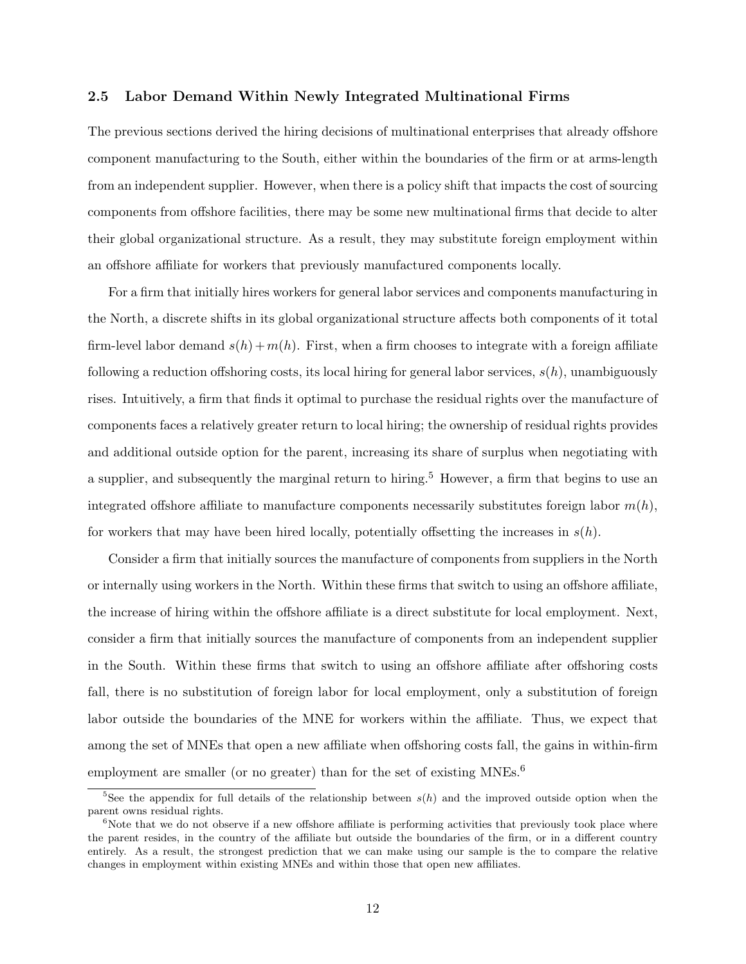#### **2.5 Labor Demand Within Newly Integrated Multinational Firms**

The previous sections derived the hiring decisions of multinational enterprises that already offshore component manufacturing to the South, either within the boundaries of the firm or at arms-length from an independent supplier. However, when there is a policy shift that impacts the cost of sourcing components from offshore facilities, there may be some new multinational firms that decide to alter their global organizational structure. As a result, they may substitute foreign employment within an offshore affiliate for workers that previously manufactured components locally.

For a firm that initially hires workers for general labor services and components manufacturing in the North, a discrete shifts in its global organizational structure affects both components of it total firm-level labor demand  $s(h) + m(h)$ . First, when a firm chooses to integrate with a foreign affiliate following a reduction offshoring costs, its local hiring for general labor services, *s*(*h*), unambiguously rises. Intuitively, a firm that finds it optimal to purchase the residual rights over the manufacture of components faces a relatively greater return to local hiring; the ownership of residual rights provides and additional outside option for the parent, increasing its share of surplus when negotiating with a supplier, and subsequently the marginal return to hiring.<sup>5</sup> However, a firm that begins to use an integrated offshore affiliate to manufacture components necessarily substitutes foreign labor *m*(*h*), for workers that may have been hired locally, potentially offsetting the increases in  $s(h)$ .

Consider a firm that initially sources the manufacture of components from suppliers in the North or internally using workers in the North. Within these firms that switch to using an offshore affiliate, the increase of hiring within the offshore affiliate is a direct substitute for local employment. Next, consider a firm that initially sources the manufacture of components from an independent supplier in the South. Within these firms that switch to using an offshore affiliate after offshoring costs fall, there is no substitution of foreign labor for local employment, only a substitution of foreign labor outside the boundaries of the MNE for workers within the affiliate. Thus, we expect that among the set of MNEs that open a new affiliate when offshoring costs fall, the gains in within-firm employment are smaller (or no greater) than for the set of existing  $MNEs$ <sup>6</sup>

<sup>&</sup>lt;sup>5</sup>See the appendix for full details of the relationship between  $s(h)$  and the improved outside option when the parent owns residual rights.

 $6$ Note that we do not observe if a new offshore affiliate is performing activities that previously took place where the parent resides, in the country of the affiliate but outside the boundaries of the firm, or in a different country entirely. As a result, the strongest prediction that we can make using our sample is the to compare the relative changes in employment within existing MNEs and within those that open new affiliates.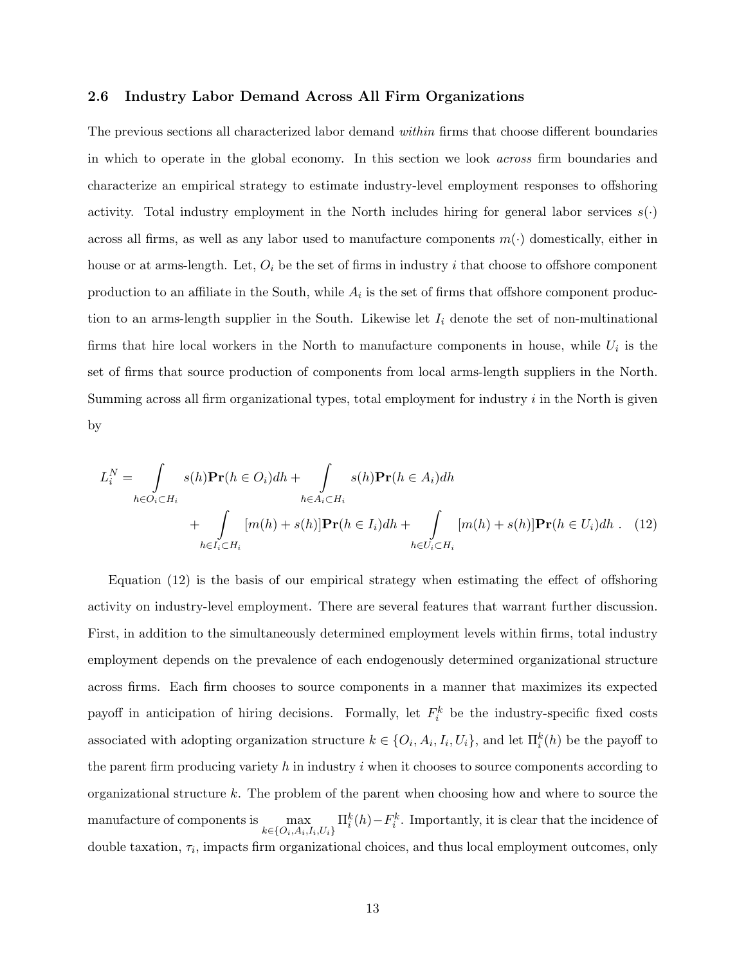#### **2.6 Industry Labor Demand Across All Firm Organizations**

The previous sections all characterized labor demand *within* firms that choose different boundaries in which to operate in the global economy. In this section we look *across* firm boundaries and characterize an empirical strategy to estimate industry-level employment responses to offshoring activity. Total industry employment in the North includes hiring for general labor services  $s(\cdot)$ across all firms, as well as any labor used to manufacture components  $m(\cdot)$  domestically, either in house or at arms-length. Let, *O<sup>i</sup>* be the set of firms in industry *i* that choose to offshore component production to an affiliate in the South, while  $A_i$  is the set of firms that offshore component production to an arms-length supplier in the South. Likewise let  $I_i$  denote the set of non-multinational firms that hire local workers in the North to manufacture components in house, while  $U_i$  is the set of firms that source production of components from local arms-length suppliers in the North. Summing across all firm organizational types, total employment for industry *i* in the North is given by

$$
L_i^N = \int_{h \in O_i \subset H_i} s(h) \mathbf{Pr}(h \in O_i) dh + \int_{h \in A_i \subset H_i} s(h) \mathbf{Pr}(h \in A_i) dh
$$
  
+ 
$$
\int_{h \in I_i \subset H_i} [m(h) + s(h)] \mathbf{Pr}(h \in I_i) dh + \int_{h \in U_i \subset H_i} [m(h) + s(h)] \mathbf{Pr}(h \in U_i) dh. (12)
$$

Equation (12) is the basis of our empirical strategy when estimating the effect of offshoring activity on industry-level employment. There are several features that warrant further discussion. First, in addition to the simultaneously determined employment levels within firms, total industry employment depends on the prevalence of each endogenously determined organizational structure across firms. Each firm chooses to source components in a manner that maximizes its expected payoff in anticipation of hiring decisions. Formally, let  $F_i^k$  be the industry-specific fixed costs associated with adopting organization structure  $k \in \{O_i, A_i, I_i, U_i\}$ , and let  $\Pi_i^k(h)$  be the payoff to the parent firm producing variety *h* in industry *i* when it chooses to source components according to organizational structure *k*. The problem of the parent when choosing how and where to source the manufacture of components is  $\max_{k \in \{O_i, A_i, I_i, U_i\}} \Pi_i^k(h) - F_i^k$ . Importantly, it is clear that the incidence of double taxation, *τ<sup>i</sup>* , impacts firm organizational choices, and thus local employment outcomes, only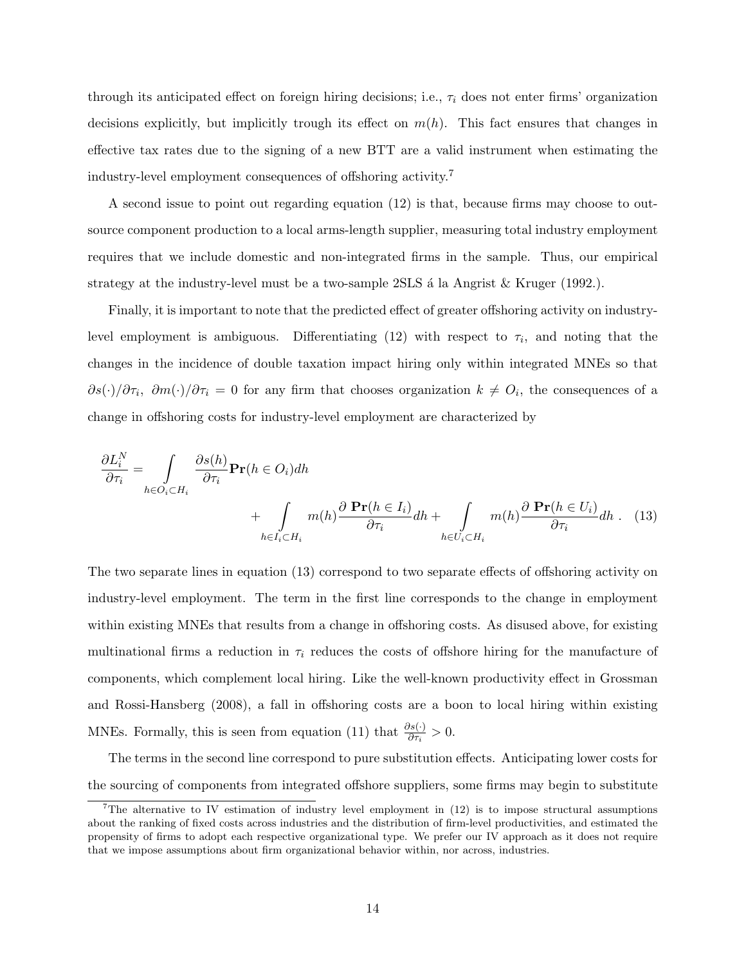through its anticipated effect on foreign hiring decisions; i.e., *τ<sup>i</sup>* does not enter firms' organization decisions explicitly, but implicitly trough its effect on  $m(h)$ . This fact ensures that changes in effective tax rates due to the signing of a new BTT are a valid instrument when estimating the industry-level employment consequences of offshoring activity.<sup>7</sup>

A second issue to point out regarding equation (12) is that, because firms may choose to outsource component production to a local arms-length supplier, measuring total industry employment requires that we include domestic and non-integrated firms in the sample. Thus, our empirical strategy at the industry-level must be a two-sample  $2SLS$  á la Angrist  $\&$  Kruger (1992.).

Finally, it is important to note that the predicted effect of greater offshoring activity on industrylevel employment is ambiguous. Differentiating  $(12)$  with respect to  $\tau_i$ , and noting that the changes in the incidence of double taxation impact hiring only within integrated MNEs so that  $\partial s(\cdot)/\partial \tau_i$ ,  $\partial m(\cdot)/\partial \tau_i = 0$  for any firm that chooses organization  $k \neq O_i$ , the consequences of a change in offshoring costs for industry-level employment are characterized by

$$
\frac{\partial L_i^N}{\partial \tau_i} = \int_{h \in O_i \subset H_i} \frac{\partial s(h)}{\partial \tau_i} \mathbf{Pr}(h \in O_i) dh + \int_{h \in I_i \subset H_i} m(h) \frac{\partial \mathbf{Pr}(h \in I_i)}{\partial \tau_i} dh + \int_{h \in U_i \subset H_i} m(h) \frac{\partial \mathbf{Pr}(h \in U_i)}{\partial \tau_i} dh \quad (13)
$$

The two separate lines in equation (13) correspond to two separate effects of offshoring activity on industry-level employment. The term in the first line corresponds to the change in employment within existing MNEs that results from a change in offshoring costs. As disused above, for existing multinational firms a reduction in  $\tau_i$  reduces the costs of offshore hiring for the manufacture of components, which complement local hiring. Like the well-known productivity effect in Grossman and Rossi-Hansberg (2008), a fall in offshoring costs are a boon to local hiring within existing MNEs. Formally, this is seen from equation (11) that  $\frac{\partial s(\cdot)}{\partial \tau_i} > 0$ .

The terms in the second line correspond to pure substitution effects. Anticipating lower costs for the sourcing of components from integrated offshore suppliers, some firms may begin to substitute

<sup>&</sup>lt;sup>7</sup>The alternative to IV estimation of industry level employment in  $(12)$  is to impose structural assumptions about the ranking of fixed costs across industries and the distribution of firm-level productivities, and estimated the propensity of firms to adopt each respective organizational type. We prefer our IV approach as it does not require that we impose assumptions about firm organizational behavior within, nor across, industries.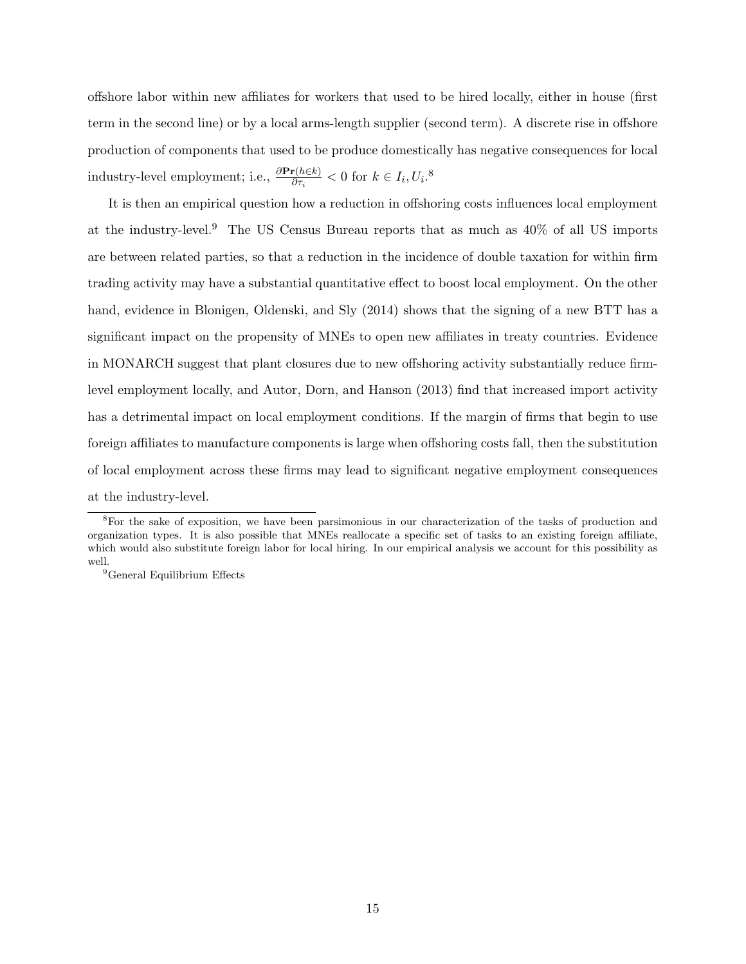offshore labor within new affiliates for workers that used to be hired locally, either in house (first term in the second line) or by a local arms-length supplier (second term). A discrete rise in offshore production of components that used to be produce domestically has negative consequences for local industry-level employment; i.e.,  $\frac{\partial \mathbf{Pr}(h \in k)}{\partial \tau_i} < 0$  for  $k \in I_i, U_i$ .<sup>8</sup>

It is then an empirical question how a reduction in offshoring costs influences local employment at the industry-level.<sup>9</sup> The US Census Bureau reports that as much as  $40\%$  of all US imports are between related parties, so that a reduction in the incidence of double taxation for within firm trading activity may have a substantial quantitative effect to boost local employment. On the other hand, evidence in Blonigen, Oldenski, and Sly (2014) shows that the signing of a new BTT has a significant impact on the propensity of MNEs to open new affiliates in treaty countries. Evidence in MONARCH suggest that plant closures due to new offshoring activity substantially reduce firmlevel employment locally, and Autor, Dorn, and Hanson (2013) find that increased import activity has a detrimental impact on local employment conditions. If the margin of firms that begin to use foreign affiliates to manufacture components is large when offshoring costs fall, then the substitution of local employment across these firms may lead to significant negative employment consequences at the industry-level.

<sup>&</sup>lt;sup>8</sup>For the sake of exposition, we have been parsimonious in our characterization of the tasks of production and organization types. It is also possible that MNEs reallocate a specific set of tasks to an existing foreign affiliate, which would also substitute foreign labor for local hiring. In our empirical analysis we account for this possibility as well.

<sup>&</sup>lt;sup>9</sup>General Equilibrium Effects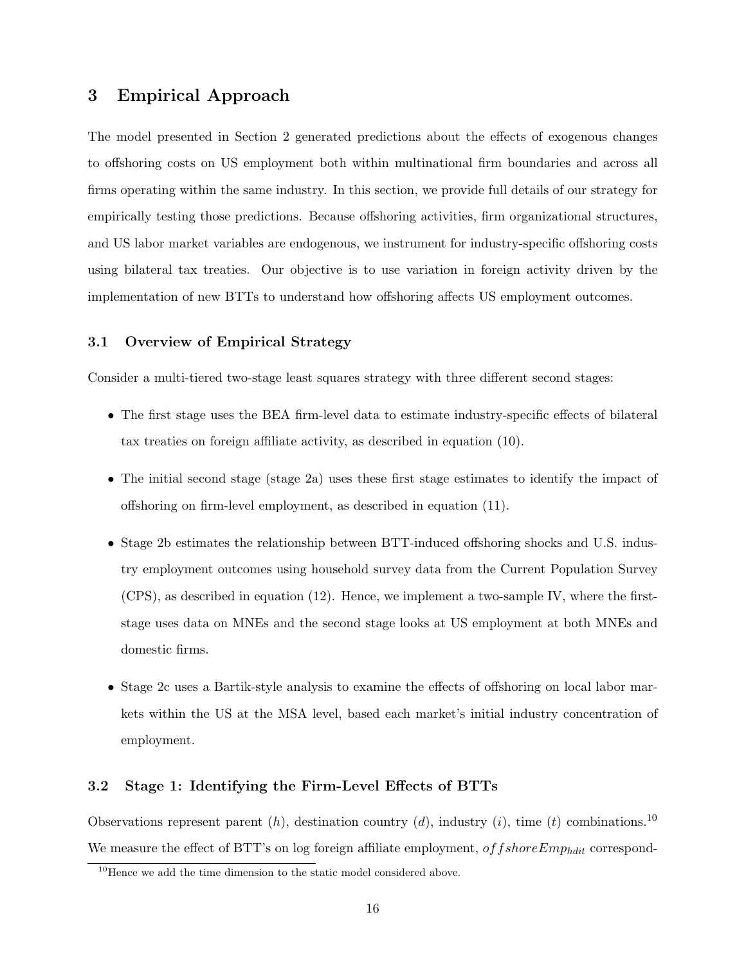## **3 Empirical Approach**

The model presented in Section 2 generated predictions about the effects of exogenous changes to offshoring costs on US employment both within multinational firm boundaries and across all firms operating within the same industry. In this section, we provide full details of our strategy for empirically testing those predictions. Because offshoring activities, firm organizational structures, and US labor market variables are endogenous, we instrument for industry-specific offshoring costs using bilateral tax treaties. Our objective is to use variation in foreign activity driven by the implementation of new BTTs to understand how offshoring affects US employment outcomes.

#### **3.1 Overview of Empirical Strategy**

Consider a multi-tiered two-stage least squares strategy with three different second stages:

- The first stage uses the BEA firm-level data to estimate industry-specific effects of bilateral tax treaties on foreign affiliate activity, as described in equation (10).
- The initial second stage (stage 2a) uses these first stage estimates to identify the impact of offshoring on firm-level employment, as described in equation (11).
- Stage 2b estimates the relationship between BTT-induced offshoring shocks and U.S. industry employment outcomes using household survey data from the Current Population Survey (CPS), as described in equation (12). Hence, we implement a two-sample IV, where the firststage uses data on MNEs and the second stage looks at US employment at both MNEs and domestic firms.
- Stage 2c uses a Bartik-style analysis to examine the effects of offshoring on local labor markets within the US at the MSA level, based each market's initial industry concentration of employment.

#### **3.2 Stage 1: Identifying the Firm-Level Effects of BTTs**

Observations represent parent (*h*), destination country (*d*), industry (*i*), time (*t*) combinations.<sup>10</sup> We measure the effect of BTT's on log foreign affiliate employment, *of f shore Emp<sub>hdit</sub>* correspond-

 $10$ Hence we add the time dimension to the static model considered above.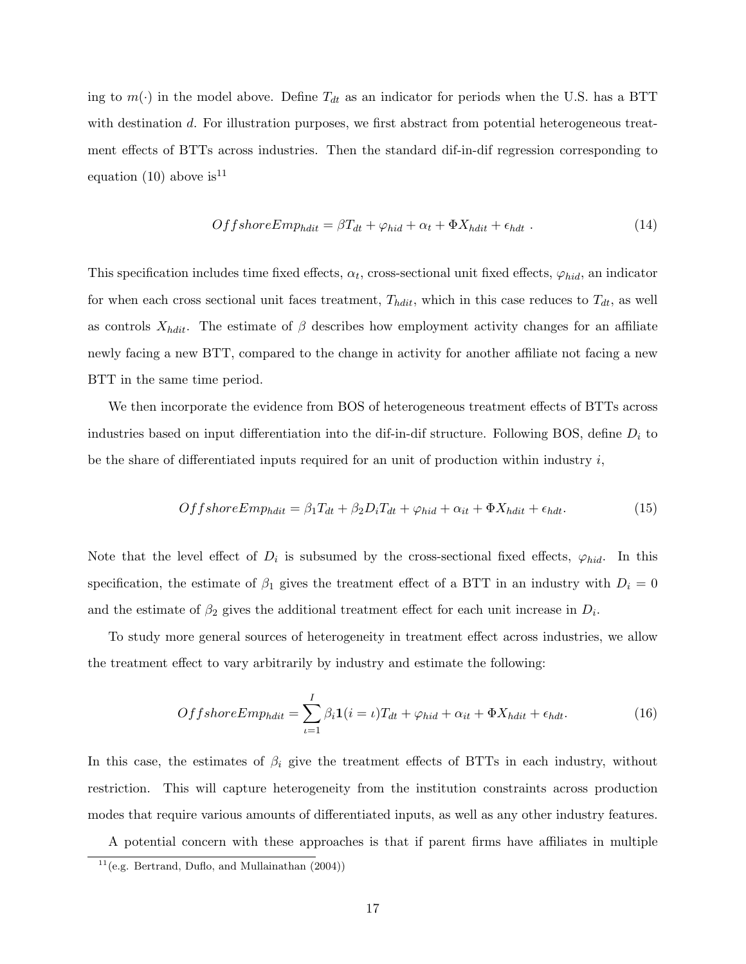ing to  $m(\cdot)$  in the model above. Define  $T_{dt}$  as an indicator for periods when the U.S. has a BTT with destination *d*. For illustration purposes, we first abstract from potential heterogeneous treatment effects of BTTs across industries. Then the standard dif-in-dif regression corresponding to equation (10) above is  $11$ 

$$
OffshoreEmphdit = \beta Tdt + \varphihid + \alpha_t + \Phi Xhdit + \epsilonhdt . \qquad (14)
$$

This specification includes time fixed effects,  $\alpha_t$ , cross-sectional unit fixed effects,  $\varphi_{hid}$ , an indicator for when each cross sectional unit faces treatment,  $T_{hdit}$ , which in this case reduces to  $T_{dt}$ , as well as controls  $X_{hdit}$ . The estimate of  $\beta$  describes how employment activity changes for an affiliate newly facing a new BTT, compared to the change in activity for another affiliate not facing a new BTT in the same time period.

We then incorporate the evidence from BOS of heterogeneous treatment effects of BTTs across industries based on input differentiation into the dif-in-dif structure. Following BOS, define *D<sup>i</sup>* to be the share of differentiated inputs required for an unit of production within industry *i*,

$$
OffshoreEmphdit = \beta_1 T_{dt} + \beta_2 D_i T_{dt} + \varphi_{hid} + \alpha_{it} + \Phi X_{hdit} + \epsilon_{hdt}.
$$
\n(15)

Note that the level effect of  $D_i$  is subsumed by the cross-sectional fixed effects,  $\varphi_{hid}$ . In this specification, the estimate of  $\beta_1$  gives the treatment effect of a BTT in an industry with  $D_i = 0$ and the estimate of  $\beta_2$  gives the additional treatment effect for each unit increase in  $D_i$ .

To study more general sources of heterogeneity in treatment effect across industries, we allow the treatment effect to vary arbitrarily by industry and estimate the following:

$$
OffshoreEmphdit = \sum_{\iota=1}^{I} \beta_{i} \mathbf{1}(i = \iota) T_{dt} + \varphi_{hid} + \alpha_{it} + \Phi X_{hdit} + \epsilon_{hdt}.
$$
 (16)

In this case, the estimates of  $\beta_i$  give the treatment effects of BTTs in each industry, without restriction. This will capture heterogeneity from the institution constraints across production modes that require various amounts of differentiated inputs, as well as any other industry features.

A potential concern with these approaches is that if parent firms have affiliates in multiple

 $11$ (e.g. Bertrand, Duflo, and Mullainathan (2004))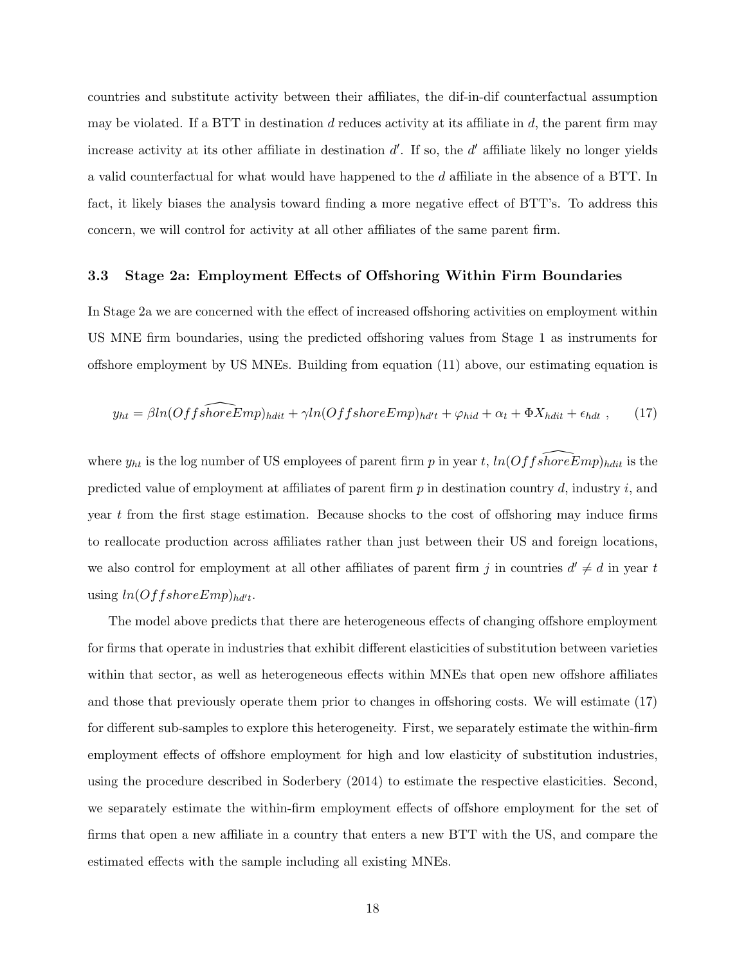countries and substitute activity between their affiliates, the dif-in-dif counterfactual assumption may be violated. If a BTT in destination *d* reduces activity at its affiliate in *d*, the parent firm may increase activity at its other affiliate in destination *d ′* . If so, the *d ′* affiliate likely no longer yields a valid counterfactual for what would have happened to the *d* affiliate in the absence of a BTT. In fact, it likely biases the analysis toward finding a more negative effect of BTT's. To address this concern, we will control for activity at all other affiliates of the same parent firm.

#### **3.3 Stage 2a: Employment Effects of Offshoring Within Firm Boundaries**

In Stage 2a we are concerned with the effect of increased offshoring activities on employment within US MNE firm boundaries, using the predicted offshoring values from Stage 1 as instruments for offshore employment by US MNEs. Building from equation (11) above, our estimating equation is

$$
y_{ht} = \beta ln(Off \widehat{shoreEmp})_{hdit} + \gamma ln(Off \widehat{shoreEmp})_{hdt'} + \varphi_{hid} + \alpha_t + \Phi X_{hdit} + \epsilon_{hdt} , \qquad (17)
$$

where  $y_{ht}$  is the log number of US employees of parent firm *p* in year *t*,  $ln(OffshoreEmp)_{hdit}$  is the predicted value of employment at affiliates of parent firm *p* in destination country *d*, industry *i*, and year *t* from the first stage estimation. Because shocks to the cost of offshoring may induce firms to reallocate production across affiliates rather than just between their US and foreign locations, we also control for employment at all other affiliates of parent firm *j* in countries  $d' \neq d$  in year *t*  $using ln(OffshoreEmp)_{h d't}.$ 

The model above predicts that there are heterogeneous effects of changing offshore employment for firms that operate in industries that exhibit different elasticities of substitution between varieties within that sector, as well as heterogeneous effects within MNEs that open new offshore affiliates and those that previously operate them prior to changes in offshoring costs. We will estimate (17) for different sub-samples to explore this heterogeneity. First, we separately estimate the within-firm employment effects of offshore employment for high and low elasticity of substitution industries, using the procedure described in Soderbery (2014) to estimate the respective elasticities. Second, we separately estimate the within-firm employment effects of offshore employment for the set of firms that open a new affiliate in a country that enters a new BTT with the US, and compare the estimated effects with the sample including all existing MNEs.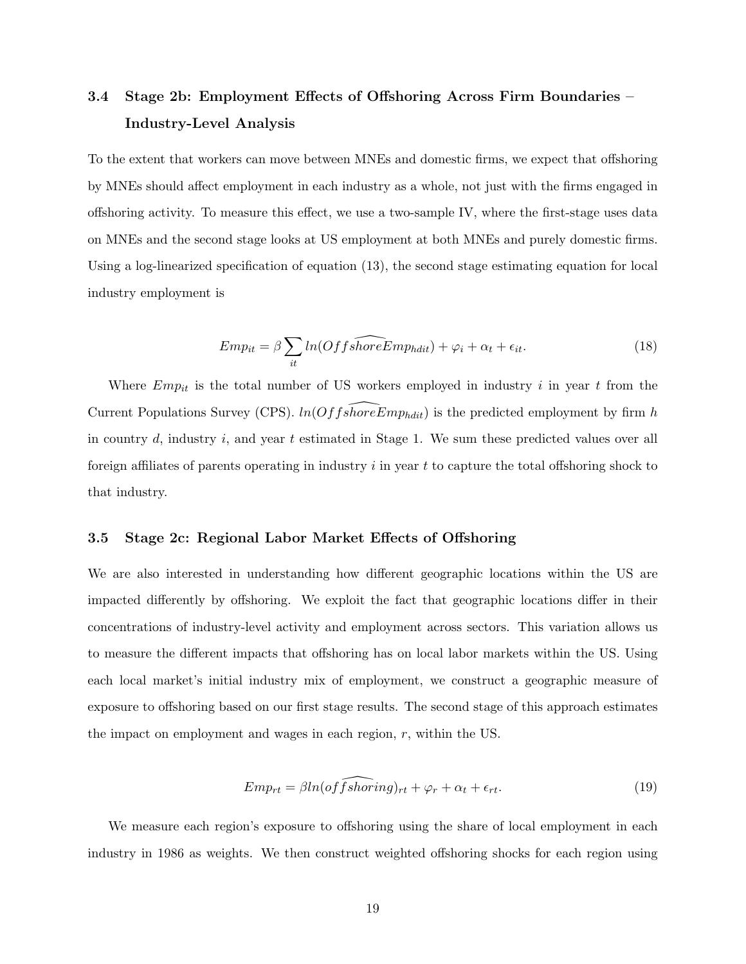## **3.4 Stage 2b: Employment Effects of Offshoring Across Firm Boundaries – Industry-Level Analysis**

To the extent that workers can move between MNEs and domestic firms, we expect that offshoring by MNEs should affect employment in each industry as a whole, not just with the firms engaged in offshoring activity. To measure this effect, we use a two-sample IV, where the first-stage uses data on MNEs and the second stage looks at US employment at both MNEs and purely domestic firms. Using a log-linearized specification of equation (13), the second stage estimating equation for local industry employment is

$$
Emp_{it} = \beta \sum_{it} ln(Offs\widehat{horeEmp_{hdit}}) + \varphi_i + \alpha_t + \epsilon_{it}.
$$
\n(18)

Where *Empit* is the total number of US workers employed in industry *i* in year *t* from the Current Populations Survey (CPS).  $ln(OffshoreEmp_{hdit})$  is the predicted employment by firm *h* in country *d*, industry *i*, and year *t* estimated in Stage 1. We sum these predicted values over all foreign affiliates of parents operating in industry *i* in year *t* to capture the total offshoring shock to that industry.

#### **3.5 Stage 2c: Regional Labor Market Effects of Offshoring**

We are also interested in understanding how different geographic locations within the US are impacted differently by offshoring. We exploit the fact that geographic locations differ in their concentrations of industry-level activity and employment across sectors. This variation allows us to measure the different impacts that offshoring has on local labor markets within the US. Using each local market's initial industry mix of employment, we construct a geographic measure of exposure to offshoring based on our first stage results. The second stage of this approach estimates the impact on employment and wages in each region, *r*, within the US.

$$
Emp_{rt} = \beta ln(off\widehat{shorting})_{rt} + \varphi_r + \alpha_t + \epsilon_{rt}.
$$
\n(19)

We measure each region's exposure to offshoring using the share of local employment in each industry in 1986 as weights. We then construct weighted offshoring shocks for each region using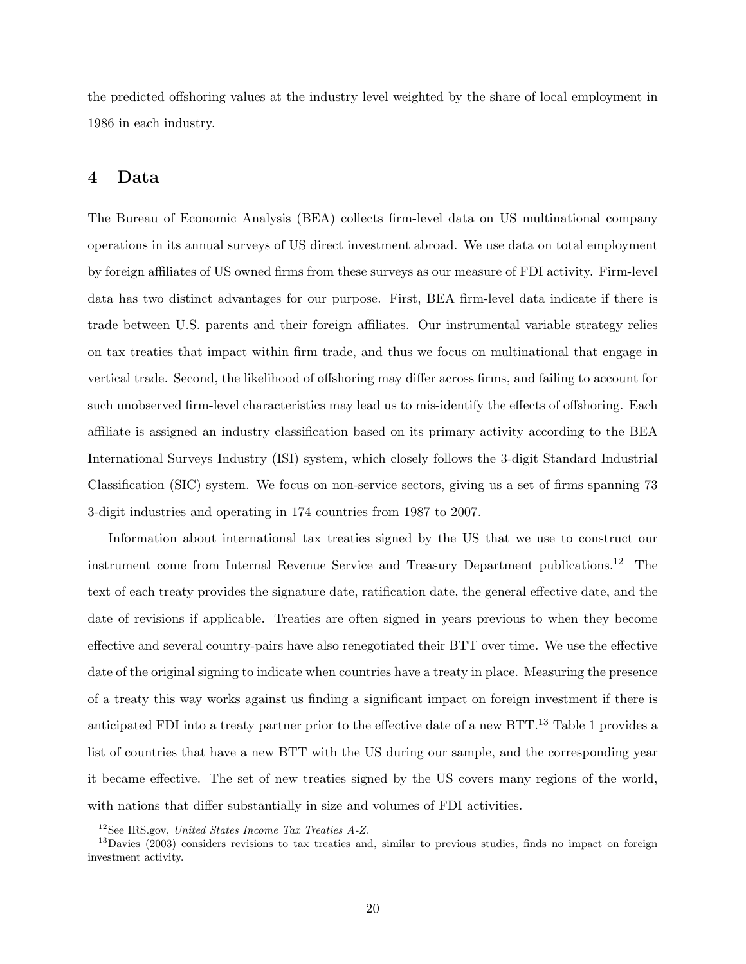the predicted offshoring values at the industry level weighted by the share of local employment in 1986 in each industry.

### **4 Data**

The Bureau of Economic Analysis (BEA) collects firm-level data on US multinational company operations in its annual surveys of US direct investment abroad. We use data on total employment by foreign affiliates of US owned firms from these surveys as our measure of FDI activity. Firm-level data has two distinct advantages for our purpose. First, BEA firm-level data indicate if there is trade between U.S. parents and their foreign affiliates. Our instrumental variable strategy relies on tax treaties that impact within firm trade, and thus we focus on multinational that engage in vertical trade. Second, the likelihood of offshoring may differ across firms, and failing to account for such unobserved firm-level characteristics may lead us to mis-identify the effects of offshoring. Each affiliate is assigned an industry classification based on its primary activity according to the BEA International Surveys Industry (ISI) system, which closely follows the 3-digit Standard Industrial Classification (SIC) system. We focus on non-service sectors, giving us a set of firms spanning 73 3-digit industries and operating in 174 countries from 1987 to 2007.

Information about international tax treaties signed by the US that we use to construct our instrument come from Internal Revenue Service and Treasury Department publications.<sup>12</sup> The text of each treaty provides the signature date, ratification date, the general effective date, and the date of revisions if applicable. Treaties are often signed in years previous to when they become effective and several country-pairs have also renegotiated their BTT over time. We use the effective date of the original signing to indicate when countries have a treaty in place. Measuring the presence of a treaty this way works against us finding a significant impact on foreign investment if there is anticipated FDI into a treaty partner prior to the effective date of a new BTT.<sup>13</sup> Table 1 provides a list of countries that have a new BTT with the US during our sample, and the corresponding year it became effective. The set of new treaties signed by the US covers many regions of the world, with nations that differ substantially in size and volumes of FDI activities.

<sup>12</sup>See IRS.gov, *United States Income Tax Treaties A-Z*.

<sup>&</sup>lt;sup>13</sup>Davies (2003) considers revisions to tax treaties and, similar to previous studies, finds no impact on foreign investment activity.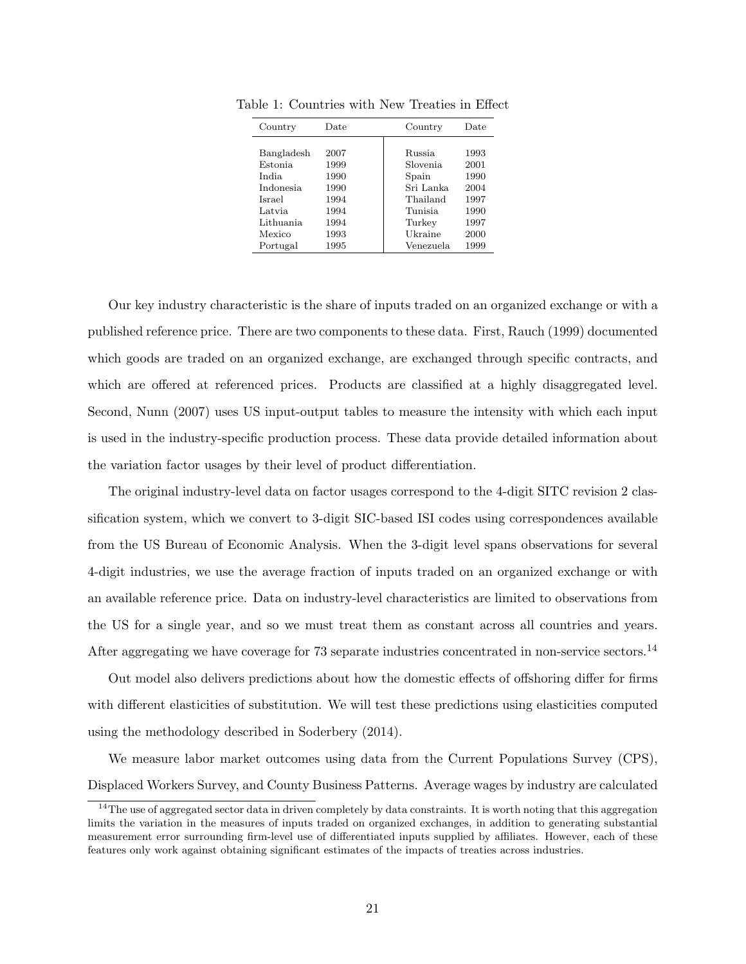| Country          | Date<br>Country |           | Date |
|------------------|-----------------|-----------|------|
|                  |                 |           |      |
| Bangladesh       | 2007            | Russia    | 1993 |
| <b>Estonia</b>   | 1999            | Slovenia  | 2001 |
| <b>India</b>     | 1990            | Spain     | 1990 |
| <i>Indonesia</i> | 1990            | Sri Lanka | 2004 |
| Israel           | 1994            | Thailand  | 1997 |
| Latvia           | 1994            | Tunisia   | 1990 |
| Lithuania        | 1994            | Turkey    | 1997 |
| Mexico           | 1993            | Ukraine   | 2000 |
| Portugal         | 1995            | Venezuela | 1999 |

Table 1: Countries with New Treaties in Effect

Our key industry characteristic is the share of inputs traded on an organized exchange or with a published reference price. There are two components to these data. First, Rauch (1999) documented which goods are traded on an organized exchange, are exchanged through specific contracts, and which are offered at referenced prices. Products are classified at a highly disaggregated level. Second, Nunn (2007) uses US input-output tables to measure the intensity with which each input is used in the industry-specific production process. These data provide detailed information about the variation factor usages by their level of product differentiation.

The original industry-level data on factor usages correspond to the 4-digit SITC revision 2 classification system, which we convert to 3-digit SIC-based ISI codes using correspondences available from the US Bureau of Economic Analysis. When the 3-digit level spans observations for several 4-digit industries, we use the average fraction of inputs traded on an organized exchange or with an available reference price. Data on industry-level characteristics are limited to observations from the US for a single year, and so we must treat them as constant across all countries and years. After aggregating we have coverage for 73 separate industries concentrated in non-service sectors.<sup>14</sup>

Out model also delivers predictions about how the domestic effects of offshoring differ for firms with different elasticities of substitution. We will test these predictions using elasticities computed using the methodology described in Soderbery (2014).

We measure labor market outcomes using data from the Current Populations Survey (CPS), Displaced Workers Survey, and County Business Patterns. Average wages by industry are calculated

 $14$ The use of aggregated sector data in driven completely by data constraints. It is worth noting that this aggregation limits the variation in the measures of inputs traded on organized exchanges, in addition to generating substantial measurement error surrounding firm-level use of differentiated inputs supplied by affiliates. However, each of these features only work against obtaining significant estimates of the impacts of treaties across industries.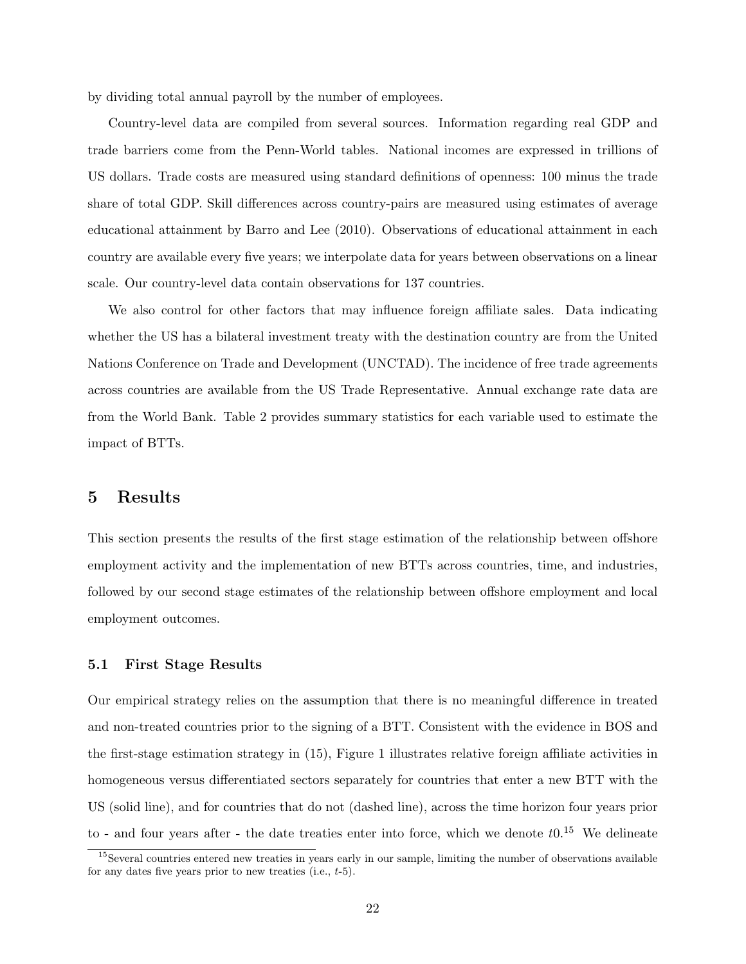by dividing total annual payroll by the number of employees.

Country-level data are compiled from several sources. Information regarding real GDP and trade barriers come from the Penn-World tables. National incomes are expressed in trillions of US dollars. Trade costs are measured using standard definitions of openness: 100 minus the trade share of total GDP. Skill differences across country-pairs are measured using estimates of average educational attainment by Barro and Lee (2010). Observations of educational attainment in each country are available every five years; we interpolate data for years between observations on a linear scale. Our country-level data contain observations for 137 countries.

We also control for other factors that may influence foreign affiliate sales. Data indicating whether the US has a bilateral investment treaty with the destination country are from the United Nations Conference on Trade and Development (UNCTAD). The incidence of free trade agreements across countries are available from the US Trade Representative. Annual exchange rate data are from the World Bank. Table 2 provides summary statistics for each variable used to estimate the impact of BTTs.

## **5 Results**

This section presents the results of the first stage estimation of the relationship between offshore employment activity and the implementation of new BTTs across countries, time, and industries, followed by our second stage estimates of the relationship between offshore employment and local employment outcomes.

#### **5.1 First Stage Results**

Our empirical strategy relies on the assumption that there is no meaningful difference in treated and non-treated countries prior to the signing of a BTT. Consistent with the evidence in BOS and the first-stage estimation strategy in (15), Figure 1 illustrates relative foreign affiliate activities in homogeneous versus differentiated sectors separately for countries that enter a new BTT with the US (solid line), and for countries that do not (dashed line), across the time horizon four years prior to - and four years after - the date treaties enter into force, which we denote *t*0.<sup>15</sup> We delineate

<sup>&</sup>lt;sup>15</sup>Several countries entered new treaties in years early in our sample, limiting the number of observations available for any dates five years prior to new treaties (i.e., *t*-5).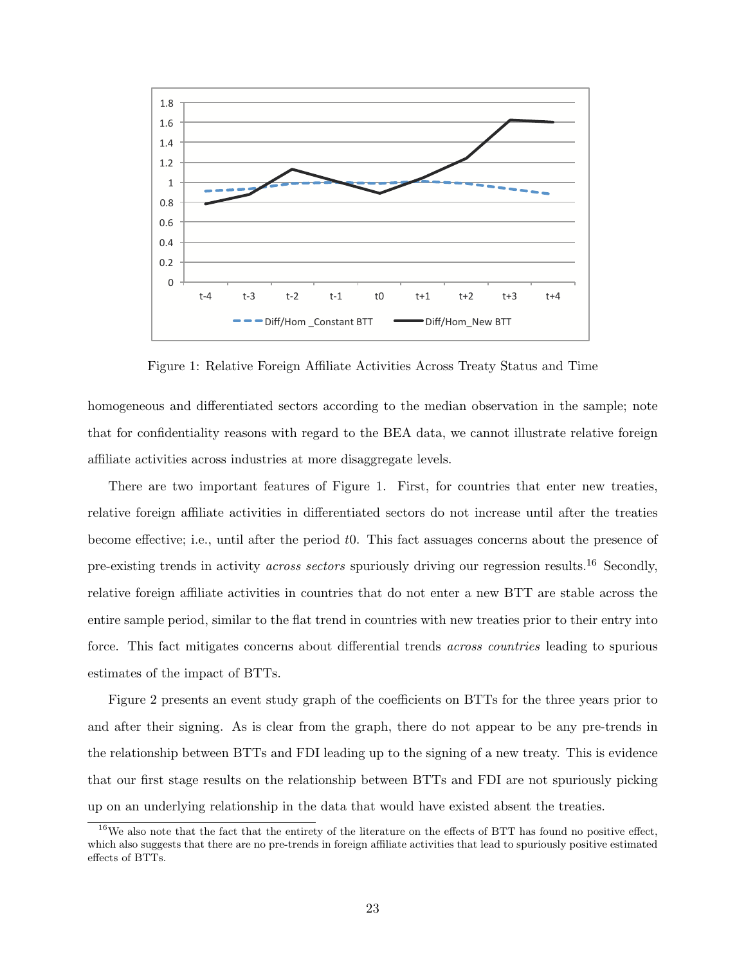

Figure 1: Relative Foreign Affiliate Activities Across Treaty Status and Time

homogeneous and differentiated sectors according to the median observation in the sample; note that for confidentiality reasons with regard to the BEA data, we cannot illustrate relative foreign affiliate activities across industries at more disaggregate levels.

There are two important features of Figure 1. First, for countries that enter new treaties, relative foreign affiliate activities in differentiated sectors do not increase until after the treaties become effective; i.e., until after the period *t*0. This fact assuages concerns about the presence of pre-existing trends in activity *across sectors* spuriously driving our regression results.<sup>16</sup> Secondly, relative foreign affiliate activities in countries that do not enter a new BTT are stable across the entire sample period, similar to the flat trend in countries with new treaties prior to their entry into force. This fact mitigates concerns about differential trends *across countries* leading to spurious estimates of the impact of BTTs.

Figure 2 presents an event study graph of the coefficients on BTTs for the three years prior to and after their signing. As is clear from the graph, there do not appear to be any pre-trends in the relationship between BTTs and FDI leading up to the signing of a new treaty. This is evidence that our first stage results on the relationship between BTTs and FDI are not spuriously picking up on an underlying relationship in the data that would have existed absent the treaties.

 $16$ We also note that the fact that the entirety of the literature on the effects of BTT has found no positive effect, which also suggests that there are no pre-trends in foreign affiliate activities that lead to spuriously positive estimated effects of BTTs.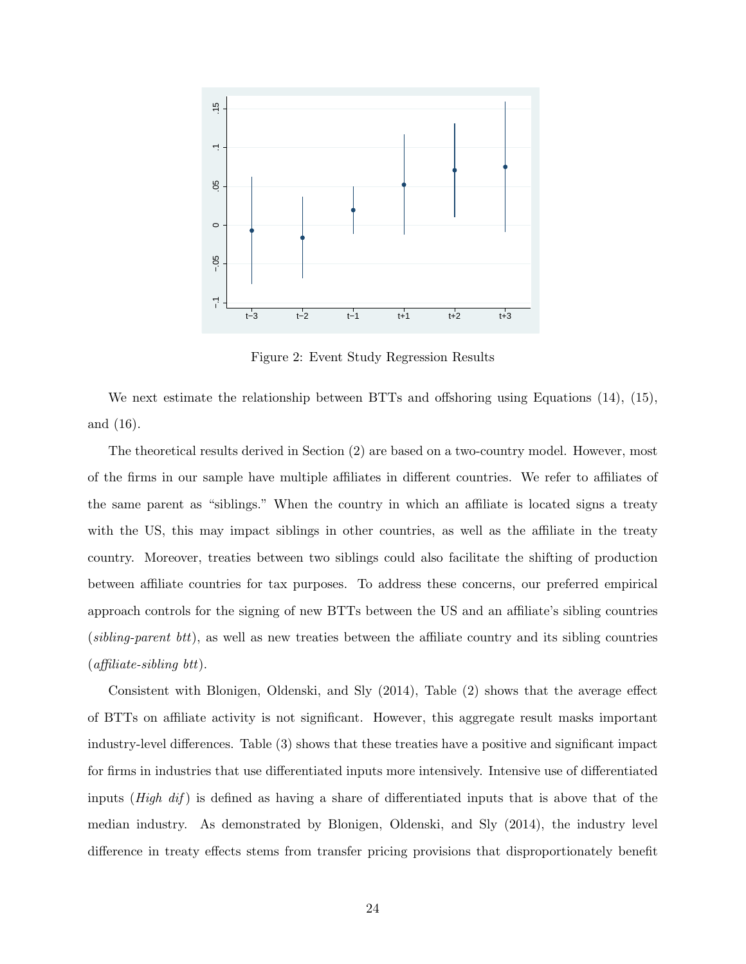

Figure 2: Event Study Regression Results

We next estimate the relationship between BTTs and offshoring using Equations (14), (15), and (16).

The theoretical results derived in Section (2) are based on a two-country model. However, most of the firms in our sample have multiple affiliates in different countries. We refer to affiliates of the same parent as "siblings." When the country in which an affiliate is located signs a treaty with the US, this may impact siblings in other countries, as well as the affiliate in the treaty country. Moreover, treaties between two siblings could also facilitate the shifting of production between affiliate countries for tax purposes. To address these concerns, our preferred empirical approach controls for the signing of new BTTs between the US and an affiliate's sibling countries (*sibling-parent btt*), as well as new treaties between the affiliate country and its sibling countries (*affiliate-sibling btt*).

Consistent with Blonigen, Oldenski, and Sly (2014), Table (2) shows that the average effect of BTTs on affiliate activity is not significant. However, this aggregate result masks important industry-level differences. Table (3) shows that these treaties have a positive and significant impact for firms in industries that use differentiated inputs more intensively. Intensive use of differentiated inputs (*High dif* ) is defined as having a share of differentiated inputs that is above that of the median industry. As demonstrated by Blonigen, Oldenski, and Sly (2014), the industry level difference in treaty effects stems from transfer pricing provisions that disproportionately benefit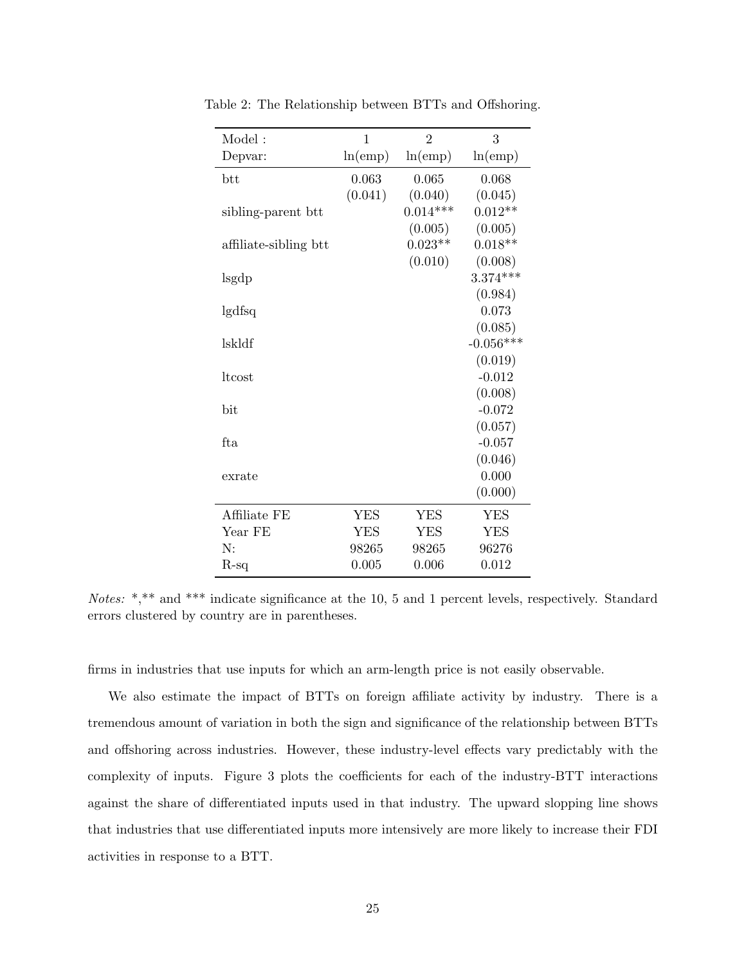| Model:                | $\mathbf{1}$ | $\overline{2}$ | 3           |
|-----------------------|--------------|----------------|-------------|
| Depvar:               | ln(emp)      | ln(emp)        | ln(emp)     |
| btt                   | 0.063        | 0.065          | 0.068       |
|                       | (0.041)      | (0.040)        | (0.045)     |
| sibling-parent btt    |              | $0.014***$     | $0.012**$   |
|                       |              | (0.005)        | (0.005)     |
| affiliate-sibling btt |              | $0.023**$      | $0.018**$   |
|                       |              | (0.010)        | (0.008)     |
| lsgdp                 |              |                | $3.374***$  |
|                       |              |                | (0.984)     |
| lgdfsq                |              |                | 0.073       |
|                       |              |                | (0.085)     |
| lskldf                |              |                | $-0.056***$ |
|                       |              |                | (0.019)     |
| ltcost                |              |                | $-0.012$    |
|                       |              |                | (0.008)     |
| bit                   |              |                | $-0.072$    |
|                       |              |                | (0.057)     |
| fta                   |              |                | $-0.057$    |
|                       |              |                | (0.046)     |
| exrate                |              |                | 0.000       |
|                       |              |                | (0.000)     |
| Affiliate FE          | <b>YES</b>   | <b>YES</b>     | <b>YES</b>  |
| Year FE               | <b>YES</b>   | <b>YES</b>     | <b>YES</b>  |
| N:                    | 98265        | 98265          | 96276       |
| $R-sq$                | 0.005        | 0.006          | 0.012       |

Table 2: The Relationship between BTTs and Offshoring.

*Notes:* \*,\*\* and \*\*\* indicate significance at the 10, 5 and 1 percent levels, respectively. Standard errors clustered by country are in parentheses.

firms in industries that use inputs for which an arm-length price is not easily observable.

We also estimate the impact of BTTs on foreign affiliate activity by industry. There is a tremendous amount of variation in both the sign and significance of the relationship between BTTs and offshoring across industries. However, these industry-level effects vary predictably with the complexity of inputs. Figure 3 plots the coefficients for each of the industry-BTT interactions against the share of differentiated inputs used in that industry. The upward slopping line shows that industries that use differentiated inputs more intensively are more likely to increase their FDI activities in response to a BTT.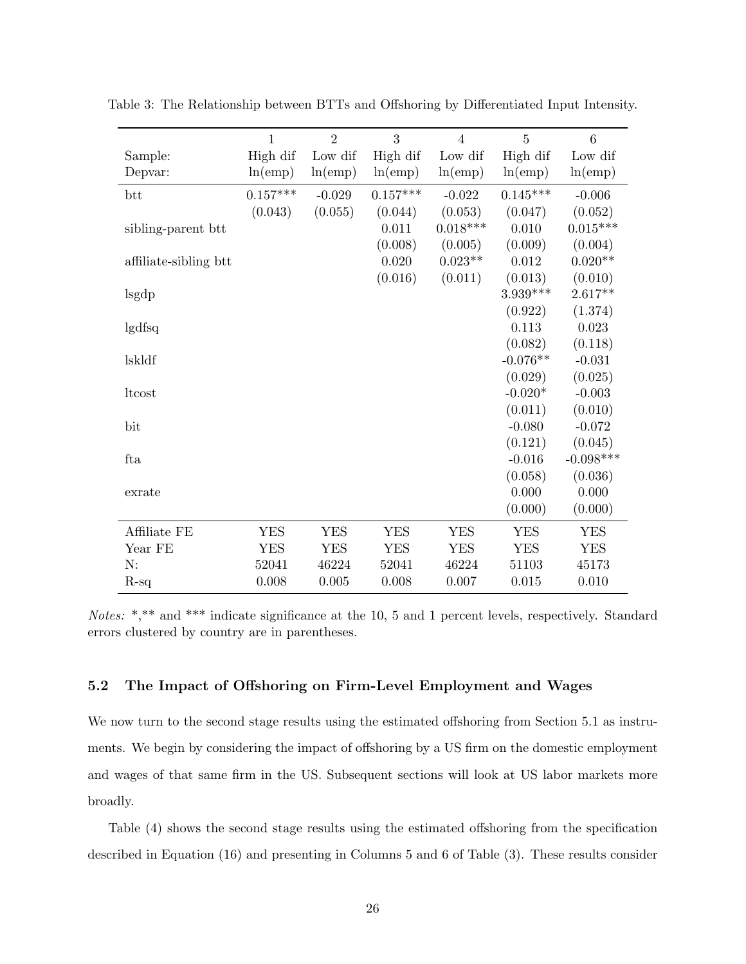|                       | $\mathbf{1}$ | $\overline{2}$ | 3          | $\overline{4}$ | $\overline{5}$ | 6           |
|-----------------------|--------------|----------------|------------|----------------|----------------|-------------|
| Sample:               | High dif     | Low dif        | High dif   | Low dif        | High dif       | Low dif     |
| Depvar:               | ln(emp)      | ln(emp)        | ln(emp)    | ln(emp)        | ln(emp)        | ln(emp)     |
| btt                   | $0.157***$   | $-0.029$       | $0.157***$ | $-0.022$       | $0.145***$     | $-0.006$    |
|                       | (0.043)      | (0.055)        | (0.044)    | (0.053)        | (0.047)        | (0.052)     |
| sibling-parent btt    |              |                | 0.011      | $0.018***$     | 0.010          | $0.015***$  |
|                       |              |                | (0.008)    | (0.005)        | (0.009)        | (0.004)     |
| affiliate-sibling btt |              |                | 0.020      | $0.023**$      | 0.012          | $0.020**$   |
|                       |              |                | (0.016)    | (0.011)        | (0.013)        | (0.010)     |
| lsgdp                 |              |                |            |                | $3.939***$     | $2.617**$   |
|                       |              |                |            |                | (0.922)        | (1.374)     |
| lgdfsq                |              |                |            |                | 0.113          | 0.023       |
|                       |              |                |            |                | (0.082)        | (0.118)     |
| lskldf                |              |                |            |                | $-0.076**$     | $-0.031$    |
|                       |              |                |            |                | (0.029)        | (0.025)     |
| ltcost                |              |                |            |                | $-0.020*$      | $-0.003$    |
|                       |              |                |            |                | (0.011)        | (0.010)     |
| bit                   |              |                |            |                | $-0.080$       | $-0.072$    |
|                       |              |                |            |                | (0.121)        | (0.045)     |
| fta                   |              |                |            |                | $-0.016$       | $-0.098***$ |
|                       |              |                |            |                | (0.058)        | (0.036)     |
| exrate                |              |                |            |                | 0.000          | 0.000       |
|                       |              |                |            |                | (0.000)        | (0.000)     |
| Affiliate FE          | <b>YES</b>   | <b>YES</b>     | <b>YES</b> | <b>YES</b>     | <b>YES</b>     | <b>YES</b>  |
| Year FE               | <b>YES</b>   | <b>YES</b>     | <b>YES</b> | <b>YES</b>     | <b>YES</b>     | <b>YES</b>  |
| N:                    | 52041        | 46224          | 52041      | 46224          | 51103          | 45173       |
| $R-sq$                | 0.008        | 0.005          | 0.008      | 0.007          | 0.015          | 0.010       |

Table 3: The Relationship between BTTs and Offshoring by Differentiated Input Intensity.

*Notes:* \*,\*\* and \*\*\* indicate significance at the 10, 5 and 1 percent levels, respectively. Standard errors clustered by country are in parentheses.

#### **5.2 The Impact of Offshoring on Firm-Level Employment and Wages**

We now turn to the second stage results using the estimated offshoring from Section 5.1 as instruments. We begin by considering the impact of offshoring by a US firm on the domestic employment and wages of that same firm in the US. Subsequent sections will look at US labor markets more broadly.

Table (4) shows the second stage results using the estimated offshoring from the specification described in Equation (16) and presenting in Columns 5 and 6 of Table (3). These results consider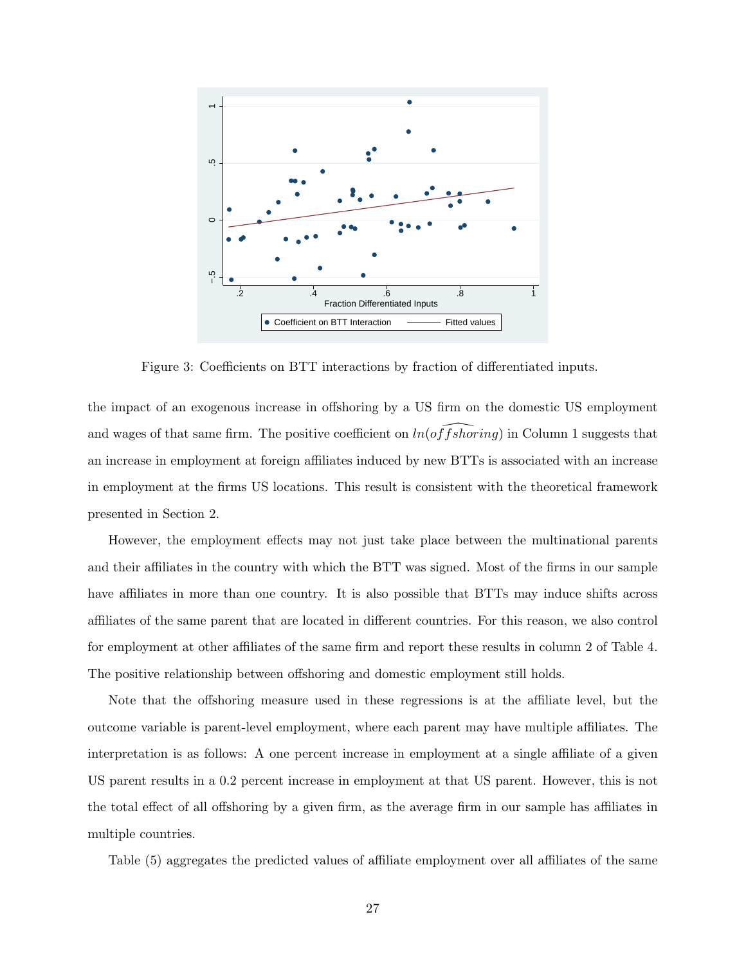

Figure 3: Coefficients on BTT interactions by fraction of differentiated inputs.

the impact of an exogenous increase in offshoring by a US firm on the domestic US employment and wages of that same firm. The positive coefficient on  $ln(offshoring)$  in Column 1 suggests that an increase in employment at foreign affiliates induced by new BTTs is associated with an increase in employment at the firms US locations. This result is consistent with the theoretical framework presented in Section 2.

However, the employment effects may not just take place between the multinational parents and their affiliates in the country with which the BTT was signed. Most of the firms in our sample have affiliates in more than one country. It is also possible that BTTs may induce shifts across affiliates of the same parent that are located in different countries. For this reason, we also control for employment at other affiliates of the same firm and report these results in column 2 of Table 4. The positive relationship between offshoring and domestic employment still holds.

Note that the offshoring measure used in these regressions is at the affiliate level, but the outcome variable is parent-level employment, where each parent may have multiple affiliates. The interpretation is as follows: A one percent increase in employment at a single affiliate of a given US parent results in a 0.2 percent increase in employment at that US parent. However, this is not the total effect of all offshoring by a given firm, as the average firm in our sample has affiliates in multiple countries.

Table (5) aggregates the predicted values of affiliate employment over all affiliates of the same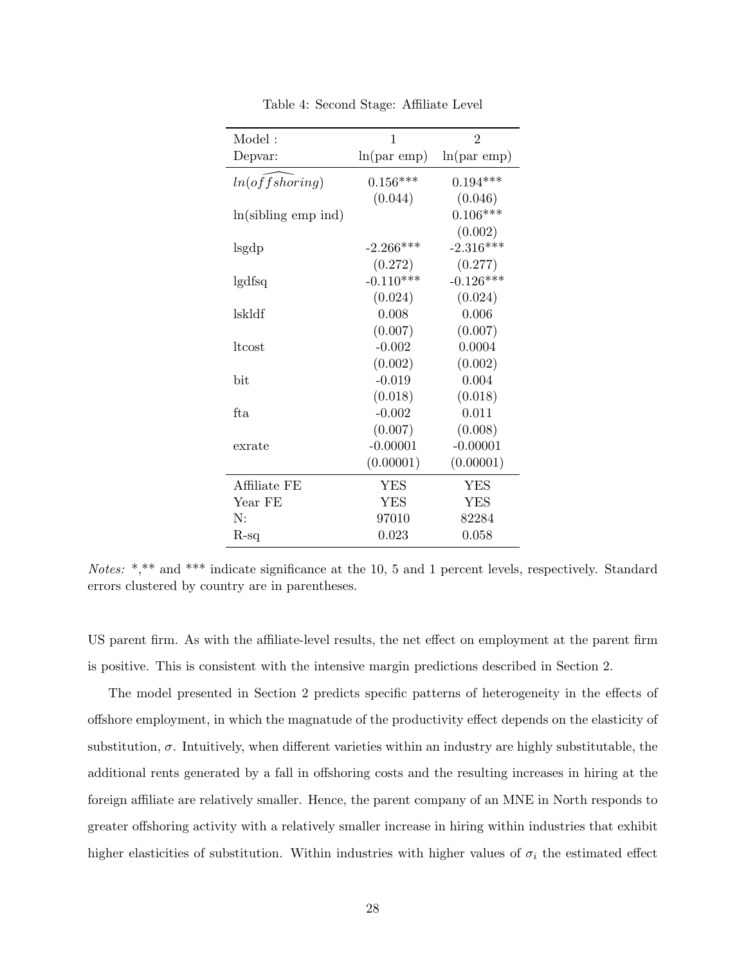| Model:                | 1                | $\overline{2}$ |
|-----------------------|------------------|----------------|
| Depvar:               | $ln(par$ emp $)$ | $ln(par$ emp)  |
| ln(offshoring)        | $0.156***$       | $0.194***$     |
|                       | (0.044)          | (0.046)        |
| $ln(sibling$ emp ind) |                  | $0.106***$     |
|                       |                  | (0.002)        |
| lsgdp                 | $-2.266***$      | $-2.316***$    |
|                       | (0.272)          | (0.277)        |
| lgdfsq                | $-0.110***$      | $-0.126***$    |
|                       | (0.024)          | (0.024)        |
| lskldf                | 0.008            | 0.006          |
|                       | (0.007)          | (0.007)        |
| ltcost                | $-0.002$         | 0.0004         |
|                       | (0.002)          | (0.002)        |
| bit                   | $-0.019$         | 0.004          |
|                       | (0.018)          | (0.018)        |
| fta.                  | $-0.002$         | 0.011          |
|                       | (0.007)          | (0.008)        |
| exrate                | $-0.00001$       | $-0.00001$     |
|                       | (0.00001)        | (0.00001)      |
| Affiliate FE          | YES              | YES            |
| Year FE               | <b>YES</b>       | <b>YES</b>     |
| N:                    | 97010            | 82284          |
| R-sq                  | 0.023            | 0.058          |

Table 4: Second Stage: Affiliate Level

*Notes:* \*,\*\* and \*\*\* indicate significance at the 10, 5 and 1 percent levels, respectively. Standard errors clustered by country are in parentheses.

US parent firm. As with the affiliate-level results, the net effect on employment at the parent firm is positive. This is consistent with the intensive margin predictions described in Section 2.

The model presented in Section 2 predicts specific patterns of heterogeneity in the effects of offshore employment, in which the magnatude of the productivity effect depends on the elasticity of substitution,  $\sigma$ . Intuitively, when different varieties within an industry are highly substitutable, the additional rents generated by a fall in offshoring costs and the resulting increases in hiring at the foreign affiliate are relatively smaller. Hence, the parent company of an MNE in North responds to greater offshoring activity with a relatively smaller increase in hiring within industries that exhibit higher elasticities of substitution. Within industries with higher values of  $\sigma_i$  the estimated effect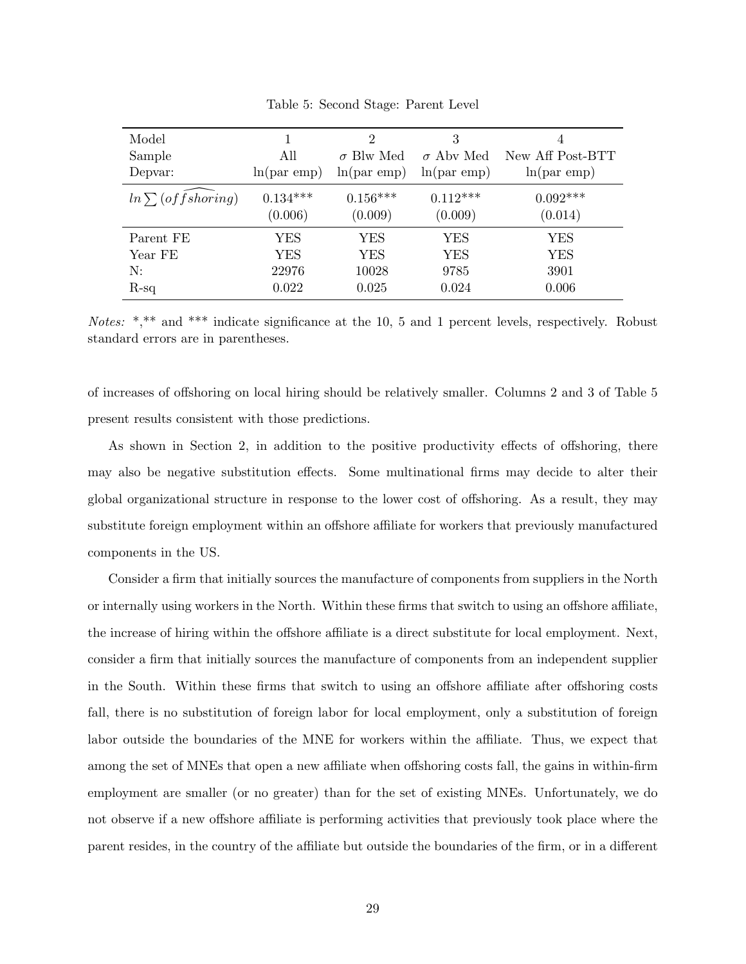| Model<br>Sample<br>Depvar: | All<br>ln(par emp)    | 2<br>$\sigma$ Blw Med<br>ln(par emp) | 3<br>$\sigma$ Aby Med<br>ln(par emp) | 4<br>New Aff Post-BTT<br>ln(par emp) |
|----------------------------|-----------------------|--------------------------------------|--------------------------------------|--------------------------------------|
| $ln \sum (offshoring)$     | $0.134***$<br>(0.006) | $0.156***$<br>(0.009)                | $0.112***$<br>(0.009)                | $0.092***$<br>(0.014)                |
| Parent FE                  | YES                   | YES                                  | YES                                  | YES                                  |
| Year FE                    | YES                   | <b>YES</b>                           | <b>YES</b>                           | <b>YES</b>                           |
| N:                         | 22976                 | 10028                                | 9785                                 | 3901                                 |
| $R-sq$                     | 0.022                 | 0.025                                | 0.024                                | 0.006                                |

Table 5: Second Stage: Parent Level

*Notes:* \*,\*\* and \*\*\* indicate significance at the 10, 5 and 1 percent levels, respectively. Robust standard errors are in parentheses.

of increases of offshoring on local hiring should be relatively smaller. Columns 2 and 3 of Table 5 present results consistent with those predictions.

As shown in Section 2, in addition to the positive productivity effects of offshoring, there may also be negative substitution effects. Some multinational firms may decide to alter their global organizational structure in response to the lower cost of offshoring. As a result, they may substitute foreign employment within an offshore affiliate for workers that previously manufactured components in the US.

Consider a firm that initially sources the manufacture of components from suppliers in the North or internally using workers in the North. Within these firms that switch to using an offshore affiliate, the increase of hiring within the offshore affiliate is a direct substitute for local employment. Next, consider a firm that initially sources the manufacture of components from an independent supplier in the South. Within these firms that switch to using an offshore affiliate after offshoring costs fall, there is no substitution of foreign labor for local employment, only a substitution of foreign labor outside the boundaries of the MNE for workers within the affiliate. Thus, we expect that among the set of MNEs that open a new affiliate when offshoring costs fall, the gains in within-firm employment are smaller (or no greater) than for the set of existing MNEs. Unfortunately, we do not observe if a new offshore affiliate is performing activities that previously took place where the parent resides, in the country of the affiliate but outside the boundaries of the firm, or in a different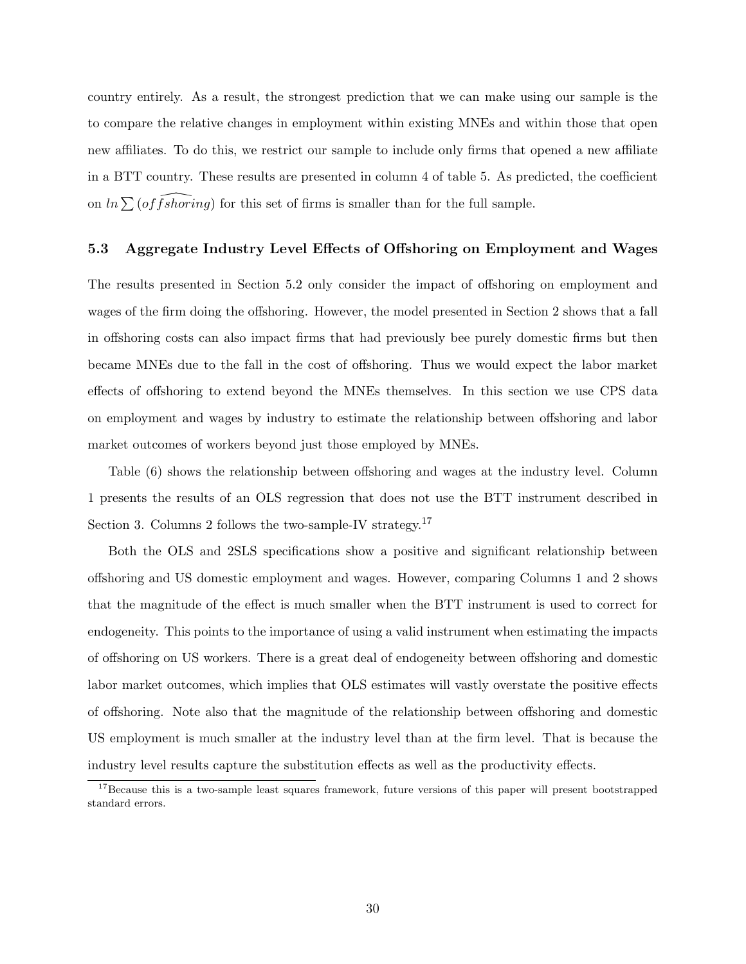country entirely. As a result, the strongest prediction that we can make using our sample is the to compare the relative changes in employment within existing MNEs and within those that open new affiliates. To do this, we restrict our sample to include only firms that opened a new affiliate in a BTT country. These results are presented in column 4 of table 5. As predicted, the coefficient on  $ln \sum (offshoring)$  for this set of firms is smaller than for the full sample.

#### **5.3 Aggregate Industry Level Effects of Offshoring on Employment and Wages**

The results presented in Section 5.2 only consider the impact of offshoring on employment and wages of the firm doing the offshoring. However, the model presented in Section 2 shows that a fall in offshoring costs can also impact firms that had previously bee purely domestic firms but then became MNEs due to the fall in the cost of offshoring. Thus we would expect the labor market effects of offshoring to extend beyond the MNEs themselves. In this section we use CPS data on employment and wages by industry to estimate the relationship between offshoring and labor market outcomes of workers beyond just those employed by MNEs.

Table (6) shows the relationship between offshoring and wages at the industry level. Column 1 presents the results of an OLS regression that does not use the BTT instrument described in Section 3. Columns 2 follows the two-sample-IV strategy.<sup>17</sup>

Both the OLS and 2SLS specifications show a positive and significant relationship between offshoring and US domestic employment and wages. However, comparing Columns 1 and 2 shows that the magnitude of the effect is much smaller when the BTT instrument is used to correct for endogeneity. This points to the importance of using a valid instrument when estimating the impacts of offshoring on US workers. There is a great deal of endogeneity between offshoring and domestic labor market outcomes, which implies that OLS estimates will vastly overstate the positive effects of offshoring. Note also that the magnitude of the relationship between offshoring and domestic US employment is much smaller at the industry level than at the firm level. That is because the industry level results capture the substitution effects as well as the productivity effects.

<sup>&</sup>lt;sup>17</sup>Because this is a two-sample least squares framework, future versions of this paper will present bootstrapped standard errors.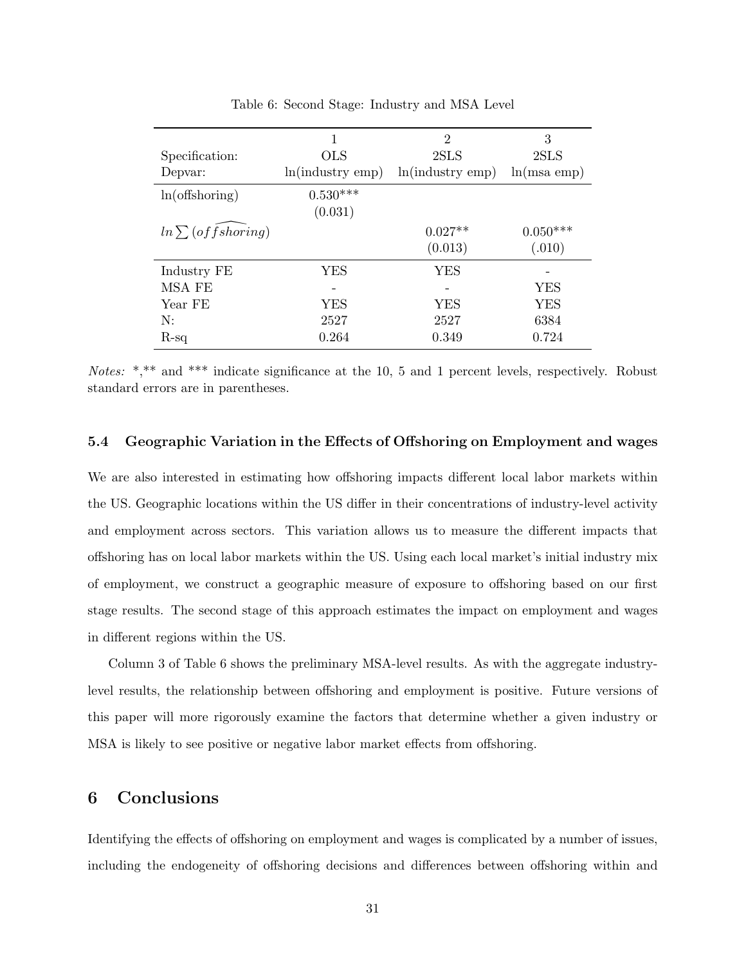|                        | 1                | $\overline{2}$   | 3             |
|------------------------|------------------|------------------|---------------|
| Specification:         | <b>OLS</b>       | 2SLS             | 2SLS          |
| Depvar:                | ln(industry emp) | ln(industry emp) | $ln(msa$ emp) |
| $ln($ offshoring $)$   | $0.530***$       |                  |               |
|                        | (0.031)          |                  |               |
| $ln \sum (offshoring)$ |                  | $0.027**$        | $0.050***$    |
|                        |                  | (0.013)          | (.010)        |
| Industry FE            | YES              | YES              |               |
| MSA FE                 |                  |                  | YES           |
| Year FE                | <b>YES</b>       | <b>YES</b>       | YES           |
| N:                     | 2527             | 2527             | 6384          |
| $R$ -sq                | 0.264            | 0.349            | 0.724         |

Table 6: Second Stage: Industry and MSA Level

*Notes:* \*,\*\* and \*\*\* indicate significance at the 10, 5 and 1 percent levels, respectively. Robust standard errors are in parentheses.

#### **5.4 Geographic Variation in the Effects of Offshoring on Employment and wages**

We are also interested in estimating how offshoring impacts different local labor markets within the US. Geographic locations within the US differ in their concentrations of industry-level activity and employment across sectors. This variation allows us to measure the different impacts that offshoring has on local labor markets within the US. Using each local market's initial industry mix of employment, we construct a geographic measure of exposure to offshoring based on our first stage results. The second stage of this approach estimates the impact on employment and wages in different regions within the US.

Column 3 of Table 6 shows the preliminary MSA-level results. As with the aggregate industrylevel results, the relationship between offshoring and employment is positive. Future versions of this paper will more rigorously examine the factors that determine whether a given industry or MSA is likely to see positive or negative labor market effects from offshoring.

### **6 Conclusions**

Identifying the effects of offshoring on employment and wages is complicated by a number of issues, including the endogeneity of offshoring decisions and differences between offshoring within and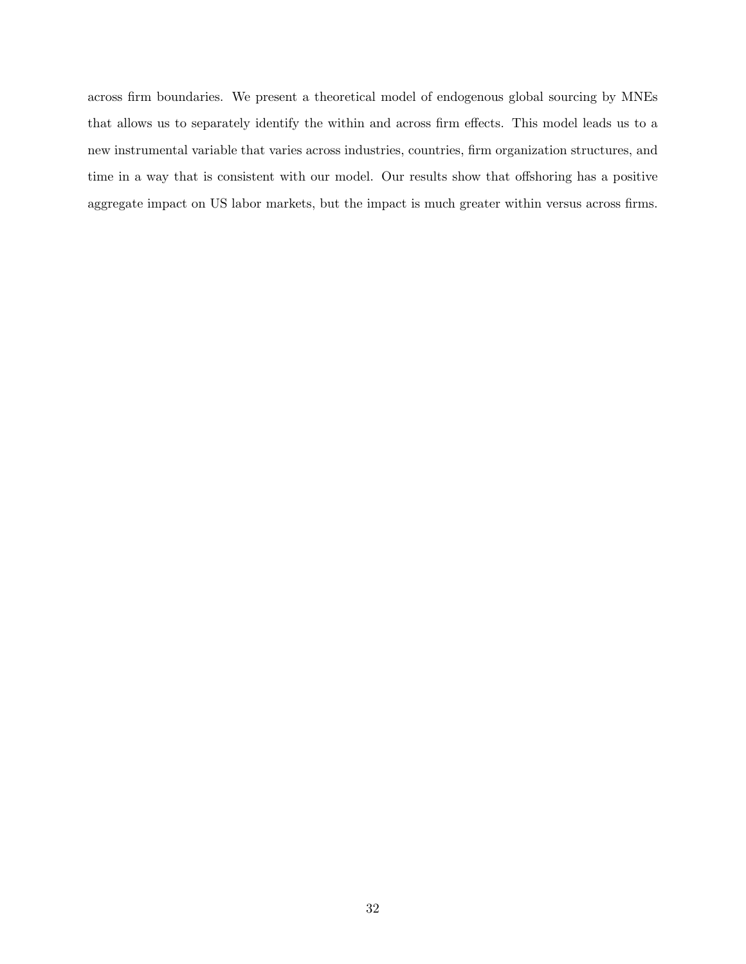across firm boundaries. We present a theoretical model of endogenous global sourcing by MNEs that allows us to separately identify the within and across firm effects. This model leads us to a new instrumental variable that varies across industries, countries, firm organization structures, and time in a way that is consistent with our model. Our results show that offshoring has a positive aggregate impact on US labor markets, but the impact is much greater within versus across firms.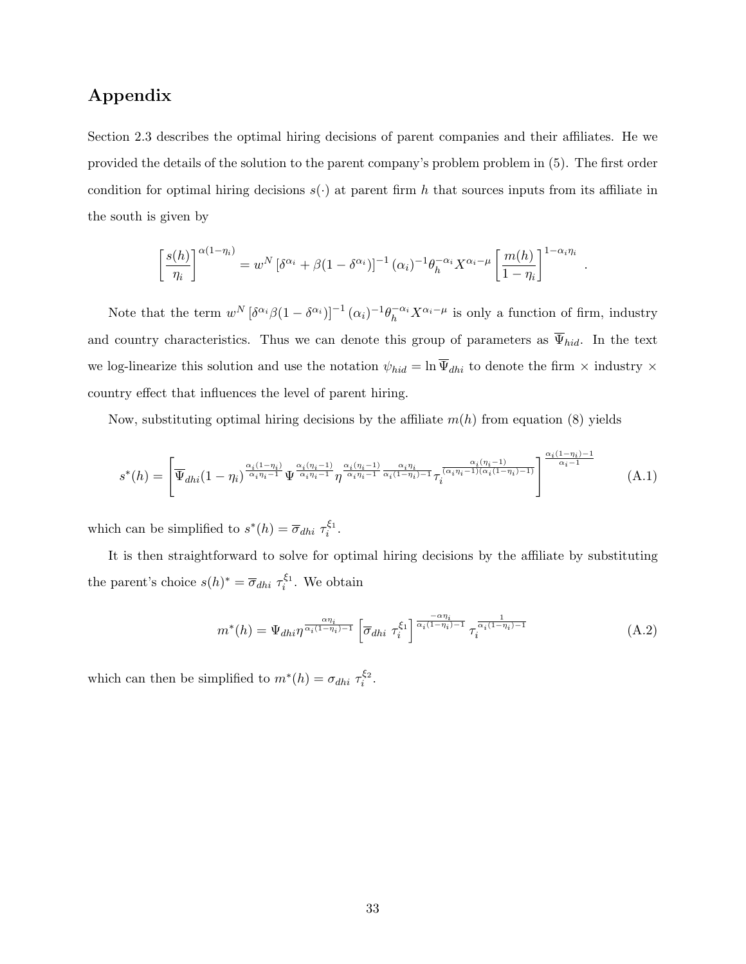## **Appendix**

Section 2.3 describes the optimal hiring decisions of parent companies and their affiliates. He we provided the details of the solution to the parent company's problem problem in (5). The first order condition for optimal hiring decisions  $s(\cdot)$  at parent firm h that sources inputs from its affiliate in the south is given by

$$
\left[\frac{s(h)}{\eta_i}\right]^{\alpha(1-\eta_i)} = w^N \left[\delta^{\alpha_i} + \beta(1-\delta^{\alpha_i})\right]^{-1} (\alpha_i)^{-1} \theta_h^{-\alpha_i} X^{\alpha_i-\mu} \left[\frac{m(h)}{1-\eta_i}\right]^{1-\alpha_i \eta_i}
$$

*.*

Note that the term  $w^N [\delta^{\alpha_i} \beta (1 - \delta^{\alpha_i})]^{-1} (\alpha_i)^{-1} \theta_h^{-\alpha_i} X^{\alpha_i - \mu}$  is only a function of firm, industry and country characteristics. Thus we can denote this group of parameters as  $\overline{\Psi}_{hid}$ . In the text we log-linearize this solution and use the notation  $\psi_{hid} = \ln \overline{\Psi}_{dhi}$  to denote the firm  $\times$  industry  $\times$ country effect that influences the level of parent hiring.

Now, substituting optimal hiring decisions by the affiliate *m*(*h*) from equation (8) yields

$$
s^*(h) = \left[ \overline{\Psi}_{dhi}(1-\eta_i)^{\frac{\alpha_i(1-\eta_i)}{\alpha_i\eta_i-1}} \Psi^{\frac{\alpha_i(\eta_i-1)}{\alpha_i\eta_i-1}} \eta^{\frac{\alpha_i(\eta_i-1)}{\alpha_i\eta_i-1}} \overline{\chi}_{i}^{\frac{\alpha_i\eta_i}{\alpha_i\eta_i-1}} \overline{\chi}_{i}^{\frac{\alpha_i(\eta_i-1)}{(\alpha_i\eta_i-1)(\alpha_i(1-\eta_i)-1)}} \right]^{\frac{\alpha_i(1-\eta_i)-1}{\alpha_i-1}} (A.1)
$$

which can be simplified to  $s^*(h) = \overline{\sigma}_{dh} \tau_i^{\xi_1}$ .

It is then straightforward to solve for optimal hiring decisions by the affiliate by substituting the parent's choice  $s(h)^* = \overline{\sigma}_{dhi} \tau_i^{\xi_1}$ . We obtain

$$
m^*(h) = \Psi_{dhi} \eta^{\frac{\alpha \eta_i}{\alpha_i (1 - \eta_i) - 1}} \left[ \overline{\sigma}_{dhi} \ \tau_i^{\xi_1} \right]^{\frac{-\alpha \eta_i}{\alpha_i (1 - \eta_i) - 1}} \tau_i^{\frac{1}{\alpha_i (1 - \eta_i) - 1}} \tag{A.2}
$$

which can then be simplified to  $m^*(h) = \sigma_{dhi} \tau_i^{\xi_2}$ .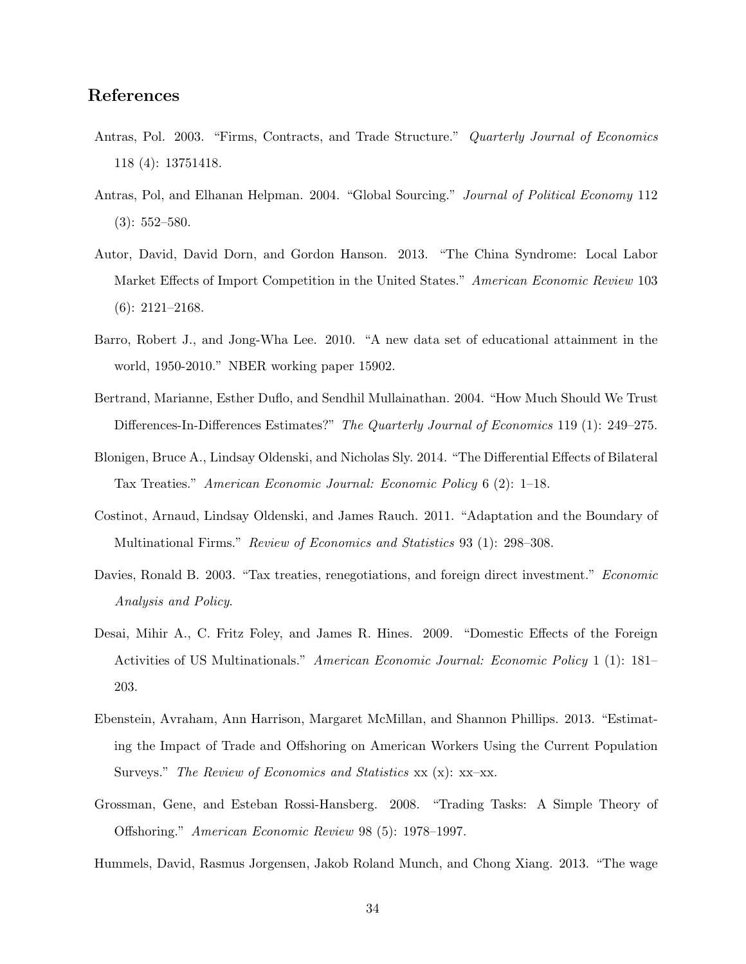## **References**

- Antras, Pol. 2003. "Firms, Contracts, and Trade Structure." *Quarterly Journal of Economics* 118 (4): 13751418.
- Antras, Pol, and Elhanan Helpman. 2004. "Global Sourcing." *Journal of Political Economy* 112 (3): 552–580.
- Autor, David, David Dorn, and Gordon Hanson. 2013. "The China Syndrome: Local Labor Market Effects of Import Competition in the United States." *American Economic Review* 103 (6): 2121–2168.
- Barro, Robert J., and Jong-Wha Lee. 2010. "A new data set of educational attainment in the world, 1950-2010." NBER working paper 15902.
- Bertrand, Marianne, Esther Duflo, and Sendhil Mullainathan. 2004. "How Much Should We Trust Differences-In-Differences Estimates?" *The Quarterly Journal of Economics* 119 (1): 249–275.
- Blonigen, Bruce A., Lindsay Oldenski, and Nicholas Sly. 2014. "The Differential Effects of Bilateral Tax Treaties." *American Economic Journal: Economic Policy* 6 (2): 1–18.
- Costinot, Arnaud, Lindsay Oldenski, and James Rauch. 2011. "Adaptation and the Boundary of Multinational Firms." *Review of Economics and Statistics* 93 (1): 298–308.
- Davies, Ronald B. 2003. "Tax treaties, renegotiations, and foreign direct investment." *Economic Analysis and Policy*.
- Desai, Mihir A., C. Fritz Foley, and James R. Hines. 2009. "Domestic Effects of the Foreign Activities of US Multinationals." *American Economic Journal: Economic Policy* 1 (1): 181– 203.
- Ebenstein, Avraham, Ann Harrison, Margaret McMillan, and Shannon Phillips. 2013. "Estimating the Impact of Trade and Offshoring on American Workers Using the Current Population Surveys." *The Review of Economics and Statistics* xx (x): xx–xx.
- Grossman, Gene, and Esteban Rossi-Hansberg. 2008. "Trading Tasks: A Simple Theory of Offshoring." *American Economic Review* 98 (5): 1978–1997.
- Hummels, David, Rasmus Jorgensen, Jakob Roland Munch, and Chong Xiang. 2013. "The wage